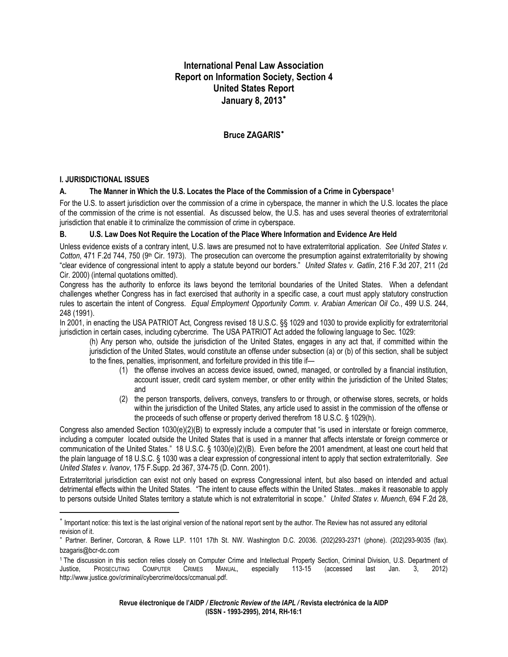# **International Penal Law Association Report on Information Society, Section 4 United States Report January 8, 2013**[∗](#page-0-0)

# **Bruce ZAGARIS**[∗](#page-0-1)

## **I. JURISDICTIONAL ISSUES**

## **A. The Manner in Which the U.S. Locates the Place of the Commission of a Crime in Cyberspace[1](#page-0-2)**

For the U.S. to assert jurisdiction over the commission of a crime in cyberspace, the manner in which the U.S. locates the place of the commission of the crime is not essential. As discussed below, the U.S. has and uses several theories of extraterritorial jurisdiction that enable it to criminalize the commission of crime in cyberspace.

## **B. U.S. Law Does Not Require the Location of the Place Where Information and Evidence Are Held**

Unless evidence exists of a contrary intent, U.S. laws are presumed not to have extraterritorial application. *See United States v.*  Cotton, 471 F.2d 744, 750 (9<sup>th</sup> Cir. 1973). The prosecution can overcome the presumption against extraterritoriality by showing "clear evidence of congressional intent to apply a statute beyond our borders." *United States v. Gatlin*, 216 F.3d 207, 211 (2d Cir. 2000) (internal quotations omitted).

Congress has the authority to enforce its laws beyond the territorial boundaries of the United States. When a defendant challenges whether Congress has in fact exercised that authority in a specific case, a court must apply statutory construction rules to ascertain the intent of Congress. *Equal Employment Opportunity Comm. v. Arabian American Oil Co.*, 499 U.S. 244, 248 (1991).

In 2001, in enacting the USA PATRIOT Act, Congress revised 18 U.S.C. §§ 1029 and 1030 to provide explicitly for extraterritorial jurisdiction in certain cases, including cybercrime. The USA PATRIOT Act added the following language to Sec. 1029:

(h) Any person who, outside the jurisdiction of the United States, engages in any act that, if committed within the jurisdiction of the United States, would constitute an offense under subsection (a) or (b) of this section, shall be subject to the fines, penalties, imprisonment, and forfeiture provided in this title if—

- (1) the offense involves an access device issued, owned, managed, or controlled by a financial institution, account issuer, credit card system member, or other entity within the jurisdiction of the United States; and
- (2) the person transports, delivers, conveys, transfers to or through, or otherwise stores, secrets, or holds within the jurisdiction of the United States, any article used to assist in the commission of the offense or the proceeds of such offense or property derived therefrom 18 U.S.C. § 1029(h).

Congress also amended Section 1030(e)(2)(B) to expressly include a computer that "is used in interstate or foreign commerce, including a computer located outside the United States that is used in a manner that affects interstate or foreign commerce or communication of the United States." 18 U.S.C. § 1030(e)(2)(B). Even before the 2001 amendment, at least one court held that the plain language of 18 U.S.C. § 1030 was a clear expression of congressional intent to apply that section extraterritorially. *See United States v. Ivanov*, 175 F.Supp. 2d 367, 374-75 (D. Conn. 2001).

Extraterritorial jurisdiction can exist not only based on express Congressional intent, but also based on intended and actual detrimental effects within the United States. "The intent to cause effects within the United States…makes it reasonable to apply to persons outside United States territory a statute which is not extraterritorial in scope." *United States v. Muench*, 694 F.2d 28,

<span id="page-0-0"></span><sup>∗</sup> Important notice: this text is the last original version of the national report sent by the author. The Review has not assured any editorial revision of it.

<span id="page-0-1"></span><sup>∗</sup> Partner. Berliner, Corcoran, & Rowe LLP. 1101 17th St. NW. Washington D.C. 20036. (202)293-2371 (phone). (202)293-9035 (fax). bzagaris@bcr-dc.com

<span id="page-0-2"></span><sup>1</sup> The discussion in this section relies closely on Computer Crime and Intellectual Property Section, Criminal Division, U.S. Department of Justice, PROSECUTING COMPUTER CRIMES MANUAL, especially 113-15 (accessed last Jan. 3, 2012) http://www.justice.gov/criminal/cybercrime/docs/ccmanual.pdf.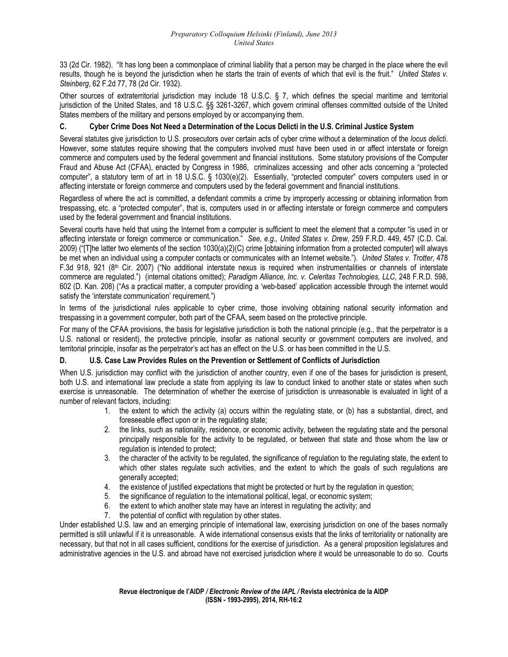33 (2d Cir. 1982). "It has long been a commonplace of criminal liability that a person may be charged in the place where the evil results, though he is beyond the jurisdiction when he starts the train of events of which that evil is the fruit." *United States v. Steinberg*, 62 F.2d 77, 78 (2d Cir. 1932).

Other sources of extraterritorial jurisdiction may include 18 U.S.C. § 7, which defines the special maritime and territorial jurisdiction of the United States, and 18 U.S.C. §§ 3261-3267, which govern criminal offenses committed outside of the United States members of the military and persons employed by or accompanying them.

# **C. Cyber Crime Does Not Need a Determination of the Locus Delicti in the U.S. Criminal Justice System**

Several statutes give jurisdiction to U.S. prosecutors over certain acts of cyber crime without a determination of the *locus delicti*. However, some statutes require showing that the computers involved must have been used in or affect interstate or foreign commerce and computers used by the federal government and financial institutions. Some statutory provisions of the Computer Fraud and Abuse Act (CFAA), enacted by Congress in 1986, criminalizes accessing and other acts concerning a "protected computer", a statutory term of art in 18 U.S.C. § 1030(e)(2). Essentially, "protected computer" covers computers used in or affecting interstate or foreign commerce and computers used by the federal government and financial institutions.

Regardless of where the act is committed, a defendant commits a crime by improperly accessing or obtaining information from trespassing, etc. a "protected computer", that is, computers used in or affecting interstate or foreign commerce and computers used by the federal government and financial institutions.

Several courts have held that using the Internet from a computer is sufficient to meet the element that a computer "is used in or affecting interstate or foreign commerce or communication." *See, e.g., United States v. Drew*, 259 F.R.D. 449, 457 (C.D. Cal. 2009) ("[T]he latter two elements of the section 1030(a)(2)(C) crime [obtaining information from a protected computer] will always be met when an individual using a computer contacts or communicates with an Internet website."). *United States v. Trotter*, 478 F.3d 918, 921 (8th Cir. 2007) ("No additional interstate nexus is required when instrumentalities or channels of interstate commerce are regulated.") (internal citations omitted); *Paradigm Alliance, Inc. v. Celeritas Technologies, LLC*, 248 F.R.D. 598, 602 (D. Kan. 208) ("As a practical matter, a computer providing a 'web-based' application accessible through the internet would satisfy the 'interstate communication' requirement.")

In terms of the jurisdictional rules applicable to cyber crime, those involving obtaining national security information and trespassing in a government computer, both part of the CFAA, seem based on the protective principle.

For many of the CFAA provisions, the basis for legislative jurisdiction is both the national principle (e.g., that the perpetrator is a U.S. national or resident), the protective principle, insofar as national security or government computers are involved, and territorial principle, insofar as the perpetrator's act has an effect on the U.S. or has been committed in the U.S.

#### **D. U.S. Case Law Provides Rules on the Prevention or Settlement of Conflicts of Jurisdiction**

When U.S. jurisdiction may conflict with the jurisdiction of another country, even if one of the bases for jurisdiction is present, both U.S. and international law preclude a state from applying its law to conduct linked to another state or states when such exercise is unreasonable. The determination of whether the exercise of jurisdiction is unreasonable is evaluated in light of a number of relevant factors, including:

- 1. the extent to which the activity (a) occurs within the regulating state, or (b) has a substantial, direct, and foreseeable effect upon or in the regulating state;
- 2. the links, such as nationality, residence, or economic activity, between the regulating state and the personal principally responsible for the activity to be regulated, or between that state and those whom the law or regulation is intended to protect;
- 3. the character of the activity to be regulated, the significance of regulation to the regulating state, the extent to which other states regulate such activities, and the extent to which the goals of such regulations are generally accepted;
- 4. the existence of justified expectations that might be protected or hurt by the regulation in question;
- 5. the significance of regulation to the international political, legal, or economic system;
- 6. the extent to which another state may have an interest in regulating the activity; and
- 7. the potential of conflict with regulation by other states.

Under established U.S. law and an emerging principle of international law, exercising jurisdiction on one of the bases normally permitted is still unlawful if it is unreasonable. A wide international consensus exists that the links of territoriality or nationality are necessary, but that not in all cases sufficient, conditions for the exercise of jurisdiction. As a general proposition legislatures and administrative agencies in the U.S. and abroad have not exercised jurisdiction where it would be unreasonable to do so. Courts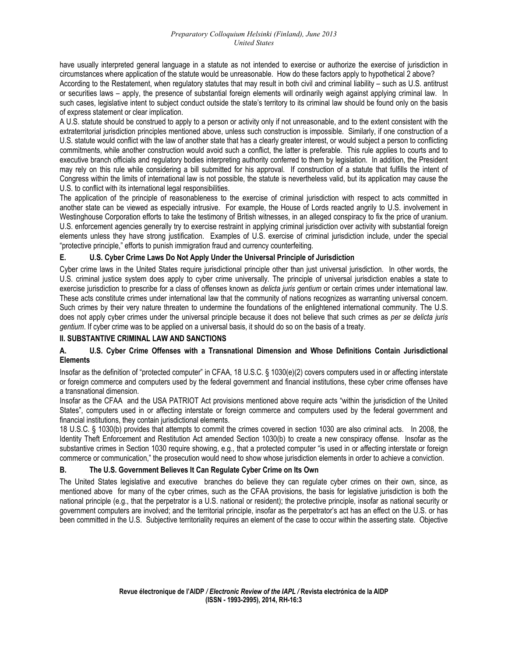have usually interpreted general language in a statute as not intended to exercise or authorize the exercise of jurisdiction in circumstances where application of the statute would be unreasonable. How do these factors apply to hypothetical 2 above?

According to the Restatement, when regulatory statutes that may result in both civil and criminal liability – such as U.S. antitrust or securities laws – apply, the presence of substantial foreign elements will ordinarily weigh against applying criminal law. In such cases, legislative intent to subject conduct outside the state's territory to its criminal law should be found only on the basis of express statement or clear implication.

A U.S. statute should be construed to apply to a person or activity only if not unreasonable, and to the extent consistent with the extraterritorial jurisdiction principles mentioned above, unless such construction is impossible. Similarly, if one construction of a U.S. statute would conflict with the law of another state that has a clearly greater interest, or would subject a person to conflicting commitments, while another construction would avoid such a conflict, the latter is preferable. This rule applies to courts and to executive branch officials and regulatory bodies interpreting authority conferred to them by legislation. In addition, the President may rely on this rule while considering a bill submitted for his approval. If construction of a statute that fulfills the intent of Congress within the limits of international law is not possible, the statute is nevertheless valid, but its application may cause the U.S. to conflict with its international legal responsibilities.

The application of the principle of reasonableness to the exercise of criminal jurisdiction with respect to acts committed in another state can be viewed as especially intrusive. For example, the House of Lords reacted angrily to U.S. involvement in Westinghouse Corporation efforts to take the testimony of British witnesses, in an alleged conspiracy to fix the price of uranium. U.S. enforcement agencies generally try to exercise restraint in applying criminal jurisdiction over activity with substantial foreign elements unless they have strong justification. Examples of U.S. exercise of criminal jurisdiction include, under the special "protective principle," efforts to punish immigration fraud and currency counterfeiting.

# **E. U.S. Cyber Crime Laws Do Not Apply Under the Universal Principle of Jurisdiction**

Cyber crime laws in the United States require jurisdictional principle other than just universal jurisdiction. In other words, the U.S. criminal justice system does apply to cyber crime universally. The principle of universal jurisdiction enables a state to exercise jurisdiction to prescribe for a class of offenses known as *delicta juris gentium* or certain crimes under international law. These acts constitute crimes under international law that the community of nations recognizes as warranting universal concern. Such crimes by their very nature threaten to undermine the foundations of the enlightened international community. The U.S. does not apply cyber crimes under the universal principle because it does not believe that such crimes as *per se delicta juris gentium*. If cyber crime was to be applied on a universal basis, it should do so on the basis of a treaty.

# **II. SUBSTANTIVE CRIMINAL LAW AND SANCTIONS**

## **A. U.S. Cyber Crime Offenses with a Transnational Dimension and Whose Definitions Contain Jurisdictional Elements**

Insofar as the definition of "protected computer" in CFAA, 18 U.S.C. § 1030(e)(2) covers computers used in or affecting interstate or foreign commerce and computers used by the federal government and financial institutions, these cyber crime offenses have a transnational dimension.

Insofar as the CFAA and the USA PATRIOT Act provisions mentioned above require acts "within the jurisdiction of the United States", computers used in or affecting interstate or foreign commerce and computers used by the federal government and financial institutions, they contain jurisdictional elements.

18 U.S.C. § 1030(b) provides that attempts to commit the crimes covered in section 1030 are also criminal acts. In 2008, the Identity Theft Enforcement and Restitution Act amended Section 1030(b) to create a new conspiracy offense. Insofar as the substantive crimes in Section 1030 require showing, e.g., that a protected computer "is used in or affecting interstate or foreign commerce or communication," the prosecution would need to show whose jurisdiction elements in order to achieve a conviction.

# **B. The U.S. Government Believes It Can Regulate Cyber Crime on Its Own**

The United States legislative and executive branches do believe they can regulate cyber crimes on their own, since, as mentioned above for many of the cyber crimes, such as the CFAA provisions, the basis for legislative jurisdiction is both the national principle (e.g., that the perpetrator is a U.S. national or resident); the protective principle, insofar as national security or government computers are involved; and the territorial principle, insofar as the perpetrator's act has an effect on the U.S. or has been committed in the U.S. Subjective territoriality requires an element of the case to occur within the asserting state. Objective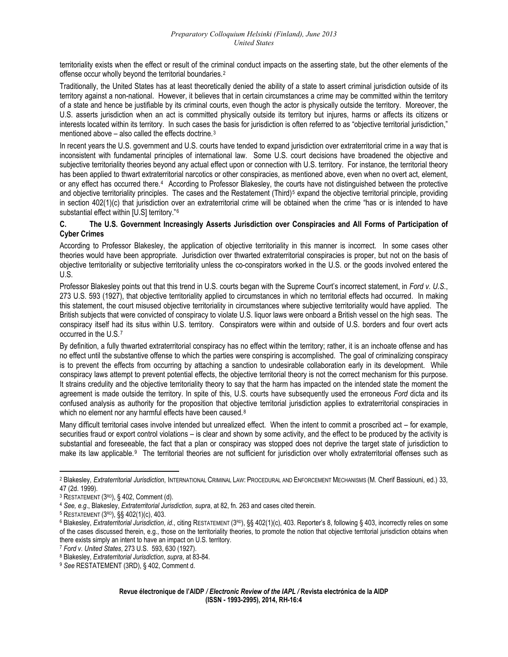territoriality exists when the effect or result of the criminal conduct impacts on the asserting state, but the other elements of the offense occur wholly beyond the territorial boundaries.[2](#page-3-0) 

Traditionally, the United States has at least theoretically denied the ability of a state to assert criminal jurisdiction outside of its territory against a non-national. However, it believes that in certain circumstances a crime may be committed within the territory of a state and hence be justifiable by its criminal courts, even though the actor is physically outside the territory. Moreover, the U.S. asserts jurisdiction when an act is committed physically outside its territory but injures, harms or affects its citizens or interests located within its territory. In such cases the basis for jurisdiction is often referred to as "objective territorial jurisdiction," mentioned above – also called the effects doctrine.[3](#page-3-1)

In recent years the U.S. government and U.S. courts have tended to expand jurisdiction over extraterritorial crime in a way that is inconsistent with fundamental principles of international law. Some U.S. court decisions have broadened the objective and subjective territoriality theories beyond any actual effect upon or connection with U.S. territory. For instance, the territorial theory has been applied to thwart extraterritorial narcotics or other conspiracies, as mentioned above, even when no overt act, element, or any effect has occurred there.[4](#page-3-2) According to Professor Blakesley, the courts have not distinguished between the protective and objective territoriality principles. The cases and the Restatement (Third)<sup>[5](#page-3-3)</sup> expand the objective territorial principle, providing in section 402(1)(c) that jurisdiction over an extraterritorial crime will be obtained when the crime "has or is intended to have substantial effect within [U.S] territory."[6](#page-3-4)

# **C. The U.S. Government Increasingly Asserts Jurisdiction over Conspiracies and All Forms of Participation of Cyber Crimes**

According to Professor Blakesley, the application of objective territoriality in this manner is incorrect. In some cases other theories would have been appropriate. Jurisdiction over thwarted extraterritorial conspiracies is proper, but not on the basis of objective territoriality or subjective territoriality unless the co-conspirators worked in the U.S. or the goods involved entered the U.S.

Professor Blakesley points out that this trend in U.S. courts began with the Supreme Court's incorrect statement, in *Ford v. U.S.*, 273 U.S. 593 (1927), that objective territoriality applied to circumstances in which no territorial effects had occurred. In making this statement, the court misused objective territoriality in circumstances where subjective territoriality would have applied. The British subjects that were convicted of conspiracy to violate U.S. liquor laws were onboard a British vessel on the high seas. The conspiracy itself had its situs within U.S. territory. Conspirators were within and outside of U.S. borders and four overt acts occurred in the U.S.[7](#page-3-5)

By definition, a fully thwarted extraterritorial conspiracy has no effect within the territory; rather, it is an inchoate offense and has no effect until the substantive offense to which the parties were conspiring is accomplished. The goal of criminalizing conspiracy is to prevent the effects from occurring by attaching a sanction to undesirable collaboration early in its development. While conspiracy laws attempt to prevent potential effects, the objective territorial theory is not the correct mechanism for this purpose. It strains credulity and the objective territoriality theory to say that the harm has impacted on the intended state the moment the agreement is made outside the territory. In spite of this, U.S. courts have subsequently used the erroneous *Ford* dicta and its confused analysis as authority for the proposition that objective territorial jurisdiction applies to extraterritorial conspiracies in which no element nor any harmful effects have been caused.<sup>[8](#page-3-6)</sup>

Many difficult territorial cases involve intended but unrealized effect. When the intent to commit a proscribed act – for example, securities fraud or export control violations – is clear and shown by some activity, and the effect to be produced by the activity is substantial and foreseeable, the fact that a plan or conspiracy was stopped does not deprive the target state of jurisdiction to make its law applicable.[9](#page-3-7) The territorial theories are not sufficient for jurisdiction over wholly extraterritorial offenses such as

<span id="page-3-0"></span><sup>2</sup> Blakesley, *Extraterritorial Jurisdiction*, INTERNATIONAL CRIMINAL LAW: PROCEDURAL AND ENFORCEMENT MECHANISMS (M. Cherif Bassiouni, ed.) 33, 47 (2d. 1999).

<span id="page-3-4"></span><span id="page-3-3"></span>

<span id="page-3-2"></span><span id="page-3-1"></span><sup>3</sup> RESTATEMENT (3¤º), § 402, Comment (d).<br><sup>4</sup> See, e.g., Blakesley, *Extraterritorial Jurisdiction, supra,* at 82, fn. 263 and cases cited therein.<br><sup>5</sup> RESTATEMENT (3¤º), §§ 402(1)(c), 403.<br><sup>6</sup> Blakesley, *Extraterritorial* of the cases discussed therein, e.g., those on the territoriality theories, to promote the notion that objective territorial jurisdiction obtains when there exists simply an intent to have an impact on U.S. territory.

<span id="page-3-6"></span><span id="page-3-5"></span><sup>7</sup> *Ford v. United States*, 273 U.S. 593, 630 (1927). 8 Blakesley, *Extraterritorial Jurisdiction*, *supra*, at 83-84. 9 *See* RESTATEMENT (3RD), § 402, Comment d.

<span id="page-3-7"></span>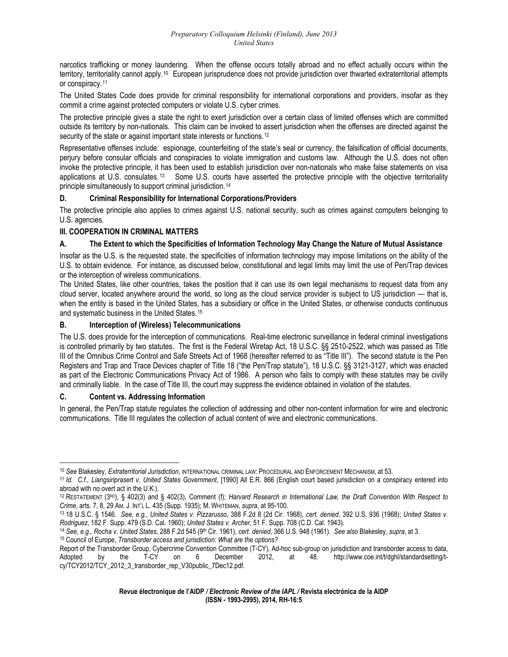narcotics trafficking or money laundering. When the offense occurs totally abroad and no effect actually occurs within the territory, territoriality cannot apply.<sup>[10](#page-4-0)</sup> European jurisprudence does not provide jurisdiction over thwarted extraterritorial attempts or conspiracy.<sup>[11](#page-4-1)</sup>

The United States Code does provide for criminal responsibility for international corporations and providers, insofar as they commit a crime against protected computers or violate U.S. cyber crimes.

The protective principle gives a state the right to exert jurisdiction over a certain class of limited offenses which are committed outside its territory by non-nationals. This claim can be invoked to assert jurisdiction when the offenses are directed against the security of the state or against important state interests or functions.<sup>[12](#page-4-2)</sup>

Representative offenses include: espionage, counterfeiting of the state's seal or currency, the falsification of official documents, perjury before consular officials and conspiracies to violate immigration and customs law. Although the U.S. does not often invoke the protective principle, it has been used to establish jurisdiction over non-nationals who make false statements on visa applications at U.S. consulates.<sup>[13](#page-4-3)</sup> Some U.S. courts have asserted the protective principle with the objective territoriality principle simultaneously to support criminal jurisdiction.<sup>14</sup>

## **D. Criminal Responsibility for International Corporations/Providers**

The protective principle also applies to crimes against U.S. national security, such as crimes against computers belonging to U.S. agencies.

# **III. COOPERATION IN CRIMINAL MATTERS**

## **A. The Extent to which the Specificities of Information Technology May Change the Nature of Mutual Assistance**

Insofar as the U.S. is the requested state, the specificities of information technology may impose limitations on the ability of the U.S. to obtain evidence. For instance, as discussed below, constitutional and legal limits may limit the use of Pen/Trap devices or the interception of wireless communications.

The United States, like other countries, takes the position that it can use its own legal mechanisms to request data from any cloud server, located anywhere around the world, so long as the cloud service provider is subject to US jurisdiction — that is, when the entity is based in the United States, has a subsidiary or office in the United States, or otherwise conducts continuous and systematic business in the United States.[15](#page-4-5)

#### **B. Interception of (Wireless) Telecommunications**

The U.S. does provide for the interception of communications. Real-time electronic surveillance in federal criminal investigations is controlled primarily by two statutes. The first is the Federal Wiretap Act, 18 U.S.C. §§ 2510-2522, which was passed as Title III of the Omnibus Crime Control and Safe Streets Act of 1968 (hereafter referred to as "Title III"). The second statute is the Pen Registers and Trap and Trace Devices chapter of Title 18 ("the Pen/Trap statute"), 18 U.S.C. §§ 3121-3127, which was enacted as part of the Electronic Communications Privacy Act of 1986. A person who fails to comply with these statutes may be civilly and criminally liable. In the case of Title III, the court may suppress the evidence obtained in violation of the statutes.

#### **C. Content vs. Addressing Information**

In general, the Pen/Trap statute regulates the collection of addressing and other non-content information for wire and electronic communications. Title III regulates the collection of actual content of wire and electronic communications.

<span id="page-4-1"></span><span id="page-4-0"></span><sup>&</sup>lt;sup>10</sup> See Blakesley, Extraterritorial Jurisdiction, INTERNATIONAL CRIMINAL LAW: PROCEDURAL AND ENFORCEMENT MECHANISM, at 53.<br><sup>11</sup> Id. C.f., Liangsiriprasert v. United States Government, [1990] All E.R. 866 (English court ba abroad with no overt act in the U.K.).

<span id="page-4-2"></span><sup>12</sup> RESTATEMENT (3RD), § 402(3) and § 402(3), Comment (f); *Harvard Research in International Law, the Draft Convention With Respect to*  Crime, arts. 7, 8, 29 Am. J. Int'l L. 435 (Supp. 1935); M. WHITEMAN, supra, at 95-100.<br><sup>13</sup> 18 U.S.C. § 1546. See, e.g., United States v. Pizzarusso, 388 F.2d 8 (2d Cir. 1968), cert. denied, 392 U.S. 936 (1968); United Sta

<span id="page-4-3"></span>

<span id="page-4-4"></span>Rodriguez, 182 F. Supp. 479 (S.D. Cal. 1960); United States v. Archer, 51 F. Supp. 708 (C.D. Cal. 1943).<br><sup>14</sup> See, e.g., Rocha v. United States, 288 F.2d 545 (9<sup>th</sup> Cir. 1961), cert. denied, 366 U.S. 948 (1961). See also B

<span id="page-4-5"></span>Report of the Transborder Group, Cybercrime Convention Committee (T-CY), Ad-hoc sub-group on jurisdiction and transborder access to data, Adopted by the T-CY on 6 December 2012, at 48. http://www.coe.int/t/dghl/standardsetting/tcy/TCY2012/TCY\_2012\_3\_transborder\_rep\_V30public\_7Dec12.pdf.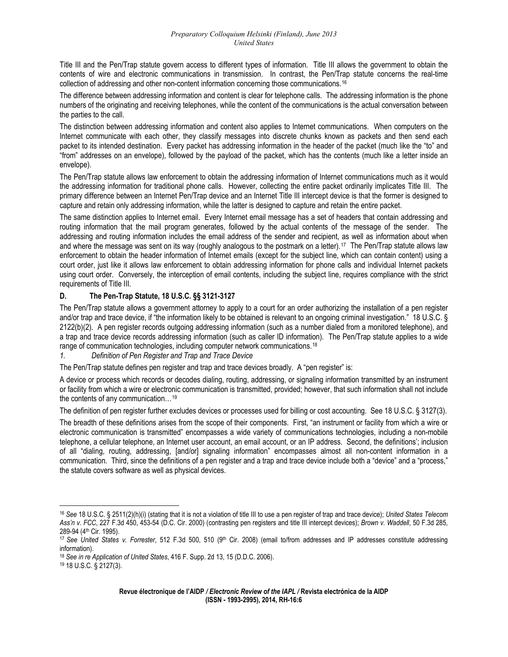Title III and the Pen/Trap statute govern access to different types of information. Title III allows the government to obtain the contents of wire and electronic communications in transmission. In contrast, the Pen/Trap statute concerns the real-time collection of addressing and other non-content information concerning those communications.[16](#page-5-0)

The difference between addressing information and content is clear for telephone calls. The addressing information is the phone numbers of the originating and receiving telephones, while the content of the communications is the actual conversation between the parties to the call.

The distinction between addressing information and content also applies to Internet communications. When computers on the Internet communicate with each other, they classify messages into discrete chunks known as packets and then send each packet to its intended destination. Every packet has addressing information in the header of the packet (much like the "to" and "from" addresses on an envelope), followed by the payload of the packet, which has the contents (much like a letter inside an envelope).

The Pen/Trap statute allows law enforcement to obtain the addressing information of Internet communications much as it would the addressing information for traditional phone calls. However, collecting the entire packet ordinarily implicates Title III. The primary difference between an Internet Pen/Trap device and an Internet Title III intercept device is that the former is designed to capture and retain only addressing information, while the latter is designed to capture and retain the entire packet.

The same distinction applies to Internet email. Every Internet email message has a set of headers that contain addressing and routing information that the mail program generates, followed by the actual contents of the message of the sender. The addressing and routing information includes the email address of the sender and recipient, as well as information about when and where the message was sent on its way (roughly analogous to the postmark on a letter).<sup>[17](#page-5-1)</sup> The Pen/Trap statute allows law enforcement to obtain the header information of Internet emails (except for the subject line, which can contain content) using a court order, just like it allows law enforcement to obtain addressing information for phone calls and individual Internet packets using court order. Conversely, the interception of email contents, including the subject line, requires compliance with the strict requirements of Title III.

# **D. The Pen-Trap Statute, 18 U.S.C. §§ 3121-3127**

The Pen/Trap statute allows a government attorney to apply to a court for an order authorizing the installation of a pen register and/or trap and trace device, if "the information likely to be obtained is relevant to an ongoing criminal investigation." 18 U.S.C. § 2122(b)(2). A pen register records outgoing addressing information (such as a number dialed from a monitored telephone), and a trap and trace device records addressing information (such as caller ID information). The Pen/Trap statute applies to a wide range of communication technologies, including computer network communications.<sup>[18](#page-5-2)</sup>

*1. Definition of Pen Register and Trap and Trace Device* 

The Pen/Trap statute defines pen register and trap and trace devices broadly. A "pen register" is:

A device or process which records or decodes dialing, routing, addressing, or signaling information transmitted by an instrument or facility from which a wire or electronic communication is transmitted, provided; however, that such information shall not include the contents of any communication…[19](#page-5-3)

The definition of pen register further excludes devices or processes used for billing or cost accounting. See 18 U.S.C. § 3127(3).

The breadth of these definitions arises from the scope of their components. First, "an instrument or facility from which a wire or electronic communication is transmitted" encompasses a wide variety of communications technologies, including a non-mobile telephone, a cellular telephone, an Internet user account, an email account, or an IP address. Second, the definitions'; inclusion of all "dialing, routing, addressing, [and/or] signaling information" encompasses almost all non-content information in a communication. Third, since the definitions of a pen register and a trap and trace device include both a "device" and a "process," the statute covers software as well as physical devices.

<span id="page-5-0"></span><sup>16</sup> *See* 18 U.S.C. § 2511(2)(h)(i) (stating that it is not a violation of title III to use a pen register of trap and trace device); *United States Telecom Ass'n v. FCC*, 227 F.3d 450, 453-54 (D.C. Cir. 2000) (contrasting pen registers and title III intercept devices); *Brown v. Waddell*, 50 F.3d 285, 289-94 (4th Cir. 1995). 17 *See United States v. Forrester*, 512 F.3d 500, 510 (9th Cir. 2008) (email to/from addresses and IP addresses constitute addressing

<span id="page-5-1"></span>information).

<span id="page-5-2"></span><sup>18</sup> *See in re Application of United States*, 416 F. Supp. 2d 13, 15 (D.D.C. 2006). 19 18 U.S.C. § 2127(3).

<span id="page-5-3"></span>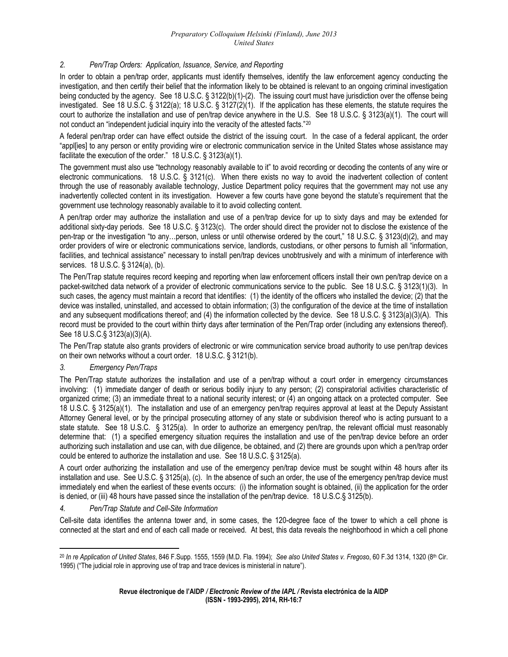# *2. Pen/Trap Orders: Application, Issuance, Service, and Reporting*

In order to obtain a pen/trap order, applicants must identify themselves, identify the law enforcement agency conducting the investigation, and then certify their belief that the information likely to be obtained is relevant to an ongoing criminal investigation being conducted by the agency. See 18 U.S.C. § 3122(b)(1)-(2). The issuing court must have jurisdiction over the offense being investigated. See 18 U.S.C. § 3122(a); 18 U.S.C. § 3127(2)(1). If the application has these elements, the statute requires the court to authorize the installation and use of pen/trap device anywhere in the U.S. See 18 U.S.C. § 3123(a)(1). The court will not conduct an "independent judicial inquiry into the veracity of the attested facts."<sup>[20](#page-6-0)</sup>

A federal pen/trap order can have effect outside the district of the issuing court. In the case of a federal applicant, the order "appl[ies] to any person or entity providing wire or electronic communication service in the United States whose assistance may facilitate the execution of the order." 18 U.S.C. § 3123(a)(1).

The government must also use "technology reasonably available to it" to avoid recording or decoding the contents of any wire or electronic communications. 18 U.S.C. § 3121(c). When there exists no way to avoid the inadvertent collection of content through the use of reasonably available technology, Justice Department policy requires that the government may not use any inadvertently collected content in its investigation. However a few courts have gone beyond the statute's requirement that the government use technology reasonably available to it to avoid collecting content.

A pen/trap order may authorize the installation and use of a pen/trap device for up to sixty days and may be extended for additional sixty-day periods. See 18 U.S.C. § 3123(c). The order should direct the provider not to disclose the existence of the pen-trap or the investigation "to any…person, unless or until otherwise ordered by the court," 18 U.S.C. § 3123(d)(2), and may order providers of wire or electronic communications service, landlords, custodians, or other persons to furnish all "information, facilities, and technical assistance" necessary to install pen/trap devices unobtrusively and with a minimum of interference with services. 18 U.S.C. § 3124(a), (b).

The Pen/Trap statute requires record keeping and reporting when law enforcement officers install their own pen/trap device on a packet-switched data network of a provider of electronic communications service to the public. See 18 U.S.C. § 3123(1)(3). In such cases, the agency must maintain a record that identifies: (1) the identity of the officers who installed the device; (2) that the device was installed, uninstalled, and accessed to obtain information; (3) the configuration of the device at the time of installation and any subsequent modifications thereof; and (4) the information collected by the device. See 18 U.S.C. § 3123(a)(3)(A). This record must be provided to the court within thirty days after termination of the Pen/Trap order (including any extensions thereof). See 18 U.S.C.§ 3123(a)(3)(A).

The Pen/Trap statute also grants providers of electronic or wire communication service broad authority to use pen/trap devices on their own networks without a court order. 18 U.S.C. § 3121(b).

#### *3. Emergency Pen/Traps*

The Pen/Trap statute authorizes the installation and use of a pen/trap without a court order in emergency circumstances involving: (1) immediate danger of death or serious bodily injury to any person; (2) conspiratorial activities characteristic of organized crime; (3) an immediate threat to a national security interest; or (4) an ongoing attack on a protected computer. See 18 U.S.C. § 3125(a)(1). The installation and use of an emergency pen/trap requires approval at least at the Deputy Assistant Attorney General level, or by the principal prosecuting attorney of any state or subdivision thereof who is acting pursuant to a state statute. See 18 U.S.C. § 3125(a). In order to authorize an emergency pen/trap, the relevant official must reasonably determine that: (1) a specified emergency situation requires the installation and use of the pen/trap device before an order authorizing such installation and use can, with due diligence, be obtained, and (2) there are grounds upon which a pen/trap order could be entered to authorize the installation and use. See 18 U.S.C. § 3125(a).

A court order authorizing the installation and use of the emergency pen/trap device must be sought within 48 hours after its installation and use. See U.S.C. § 3125(a), (c). In the absence of such an order, the use of the emergency pen/trap device must immediately end when the earliest of these events occurs: (i) the information sought is obtained, (ii) the application for the order is denied, or (iii) 48 hours have passed since the installation of the pen/trap device. 18 U.S.C.§ 3125(b).

#### *4. Pen/Trap Statute and Cell-Site Information*

Cell-site data identifies the antenna tower and, in some cases, the 120-degree face of the tower to which a cell phone is connected at the start and end of each call made or received. At best, this data reveals the neighborhood in which a cell phone

<span id="page-6-0"></span><sup>20</sup> *In re Application of United States*, 846 F.Supp. 1555, 1559 (M.D. Fla. 1994); *See also United States v. Fregos*o, 60 F.3d 1314, 1320 (8th Cir. 1995) ("The judicial role in approving use of trap and trace devices is ministerial in nature").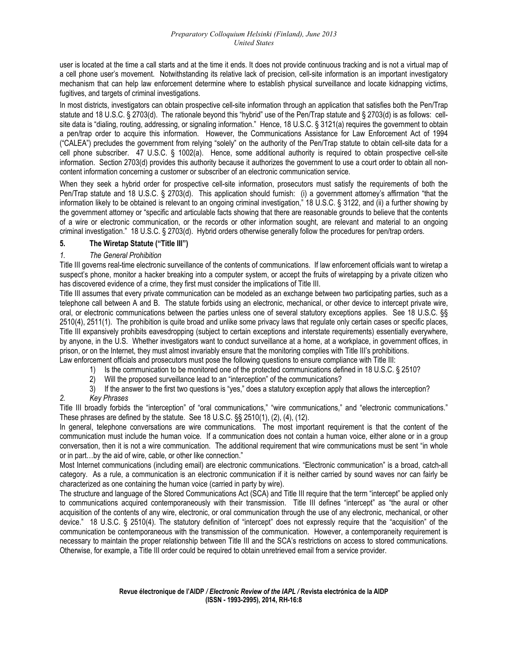user is located at the time a call starts and at the time it ends. It does not provide continuous tracking and is not a virtual map of a cell phone user's movement. Notwithstanding its relative lack of precision, cell-site information is an important investigatory mechanism that can help law enforcement determine where to establish physical surveillance and locate kidnapping victims, fugitives, and targets of criminal investigations.

In most districts, investigators can obtain prospective cell-site information through an application that satisfies both the Pen/Trap statute and 18 U.S.C. § 2703(d). The rationale beyond this "hybrid" use of the Pen/Trap statute and § 2703(d) is as follows: cellsite data is "dialing, routing, addressing, or signaling information." Hence, 18 U.S.C. § 3121(a) requires the government to obtain a pen/trap order to acquire this information. However, the Communications Assistance for Law Enforcement Act of 1994 ("CALEA") precludes the government from relying "solely" on the authority of the Pen/Trap statute to obtain cell-site data for a cell phone subscriber. 47 U.S.C. § 1002(a). Hence, some additional authority is required to obtain prospective cell-site information. Section 2703(d) provides this authority because it authorizes the government to use a court order to obtain all noncontent information concerning a customer or subscriber of an electronic communication service.

When they seek a hybrid order for prospective cell-site information, prosecutors must satisfy the requirements of both the Pen/Trap statute and 18 U.S.C. § 2703(d). This application should furnish: (i) a government attorney's affirmation "that the information likely to be obtained is relevant to an ongoing criminal investigation," 18 U.S.C. § 3122, and (ii) a further showing by the government attorney or "specific and articulable facts showing that there are reasonable grounds to believe that the contents of a wire or electronic communication, or the records or other information sought, are relevant and material to an ongoing criminal investigation." 18 U.S.C. § 2703(d). Hybrid orders otherwise generally follow the procedures for pen/trap orders.

# **5. The Wiretap Statute ("Title III")**

# *1. The General Prohibition*

Title III governs real-time electronic surveillance of the contents of communications. If law enforcement officials want to wiretap a suspect's phone, monitor a hacker breaking into a computer system, or accept the fruits of wiretapping by a private citizen who has discovered evidence of a crime, they first must consider the implications of Title III.

Title III assumes that every private communication can be modeled as an exchange between two participating parties, such as a telephone call between A and B. The statute forbids using an electronic, mechanical, or other device to intercept private wire, oral, or electronic communications between the parties unless one of several statutory exceptions applies. See 18 U.S.C. §§ 2510(4), 2511(1). The prohibition is quite broad and unlike some privacy laws that regulate only certain cases or specific places, Title III expansively prohibits eavesdropping (subject to certain exceptions and interstate requirements) essentially everywhere, by anyone, in the U.S. Whether investigators want to conduct surveillance at a home, at a workplace, in government offices, in prison, or on the Internet, they must almost invariably ensure that the monitoring complies with Title III's prohibitions.

Law enforcement officials and prosecutors must pose the following questions to ensure compliance with Title III:

- 1) Is the communication to be monitored one of the protected communications defined in 18 U.S.C. § 2510?
- 2) Will the proposed surveillance lead to an "interception" of the communications?
- 3) If the answer to the first two questions is "yes," does a statutory exception apply that allows the interception?

# *2. Key Phrases*

Title III broadly forbids the "interception" of "oral communications," "wire communications," and "electronic communications." These phrases are defined by the statute. See 18 U.S.C. §§ 2510(1), (2), (4), (12).

In general, telephone conversations are wire communications. The most important requirement is that the content of the communication must include the human voice. If a communication does not contain a human voice, either alone or in a group conversation, then it is not a wire communication. The additional requirement that wire communications must be sent "in whole or in part…by the aid of wire, cable, or other like connection."

Most Internet communications (including email) are electronic communications. "Electronic communication" is a broad, catch-all category. As a rule, a communication is an electronic communication if it is neither carried by sound waves nor can fairly be characterized as one containing the human voice (carried in party by wire).

The structure and language of the Stored Communications Act (SCA) and Title III require that the term "intercept" be applied only to communications acquired contemporaneously with their transmission. Title III defines "intercept" as "the aural or other acquisition of the contents of any wire, electronic, or oral communication through the use of any electronic, mechanical, or other device." 18 U.S.C. § 2510(4). The statutory definition of "intercept" does not expressly require that the "acquisition" of the communication be contemporaneous with the transmission of the communication. However, a contemporaneity requirement is necessary to maintain the proper relationship between Title III and the SCA's restrictions on access to stored communications. Otherwise, for example, a Title III order could be required to obtain unretrieved email from a service provider.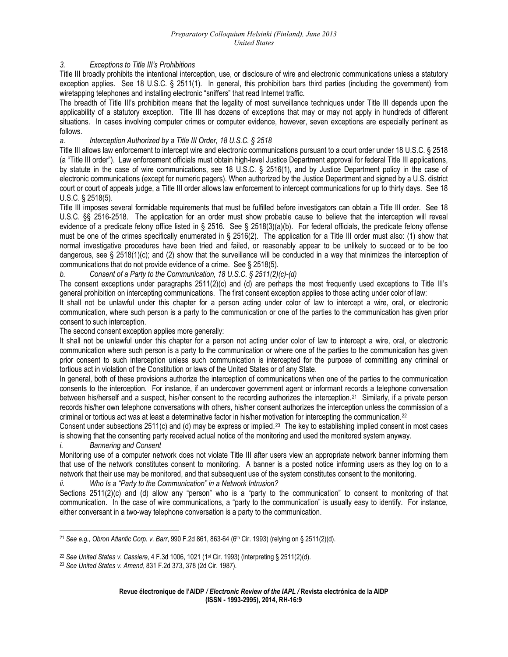## *3. Exceptions to Title III's Prohibitions*

Title III broadly prohibits the intentional interception, use, or disclosure of wire and electronic communications unless a statutory exception applies. See 18 U.S.C. § 2511(1). In general, this prohibition bars third parties (including the government) from wiretapping telephones and installing electronic "sniffers" that read Internet traffic.

The breadth of Title III's prohibition means that the legality of most surveillance techniques under Title III depends upon the applicability of a statutory exception. Title III has dozens of exceptions that may or may not apply in hundreds of different situations. In cases involving computer crimes or computer evidence, however, seven exceptions are especially pertinent as follows.

# *a. Interception Authorized by a Title III Order, 18 U.S.C. § 2518*

Title III allows law enforcement to intercept wire and electronic communications pursuant to a court order under 18 U.S.C. § 2518 (a "Title III order"). Law enforcement officials must obtain high-level Justice Department approval for federal Title III applications, by statute in the case of wire communications, see 18 U.S.C. § 2516(1), and by Justice Department policy in the case of electronic communications (except for numeric pagers). When authorized by the Justice Department and signed by a U.S. district court or court of appeals judge, a Title III order allows law enforcement to intercept communications for up to thirty days. See 18 U.S.C. § 2518(5).

Title III imposes several formidable requirements that must be fulfilled before investigators can obtain a Title III order. See 18 U.S.C. §§ 2516-2518. The application for an order must show probable cause to believe that the interception will reveal evidence of a predicate felony office listed in § 2516. See § 2518(3)(a)(b). For federal officials, the predicate felony offense must be one of the crimes specifically enumerated in § 2516(2). The application for a Title III order must also: (1) show that normal investigative procedures have been tried and failed, or reasonably appear to be unlikely to succeed or to be too dangerous, see §  $2518(1)(c)$ ; and (2) show that the surveillance will be conducted in a way that minimizes the interception of communications that do not provide evidence of a crime. See § 2518(5).

*b. Consent of a Party to the Communication, 18 U.S.C. § 2511(2)(c)-(d)* 

The consent exceptions under paragraphs 2511(2)(c) and (d) are perhaps the most frequently used exceptions to Title III's general prohibition on intercepting communications. The first consent exception applies to those acting under color of law:

It shall not be unlawful under this chapter for a person acting under color of law to intercept a wire, oral, or electronic communication, where such person is a party to the communication or one of the parties to the communication has given prior consent to such interception.

The second consent exception applies more generally:

It shall not be unlawful under this chapter for a person not acting under color of law to intercept a wire, oral, or electronic communication where such person is a party to the communication or where one of the parties to the communication has given prior consent to such interception unless such communication is intercepted for the purpose of committing any criminal or tortious act in violation of the Constitution or laws of the United States or of any State.

In general, both of these provisions authorize the interception of communications when one of the parties to the communication consents to the interception. For instance, if an undercover government agent or informant records a telephone conversation between his/herself and a suspect, his/her consent to the recording authorizes the interception.[21](#page-8-0) Similarly, if a private person records his/her own telephone conversations with others, his/her consent authorizes the interception unless the commission of a criminal or tortious act was at least a determinative factor in his/her motivation for intercepting the communication.<sup>[22](#page-8-1)</sup>

Consent under subsections 2511(c) and (d) may be express or implied.[23](#page-8-2) The key to establishing implied consent in most cases is showing that the consenting party received actual notice of the monitoring and used the monitored system anyway.

*i. Bannering and Consent* 

Monitoring use of a computer network does not violate Title III after users view an appropriate network banner informing them that use of the network constitutes consent to monitoring. A banner is a posted notice informing users as they log on to a network that their use may be monitored, and that subsequent use of the system constitutes consent to the monitoring.

*ii. Who Is a "Party to the Communication" in a Network Intrusion?* 

Sections 2511(2)(c) and (d) allow any "person" who is a "party to the communication" to consent to monitoring of that communication. In the case of wire communications, a "party to the communication" is usually easy to identify. For instance, either conversant in a two-way telephone conversation is a party to the communication.

<span id="page-8-0"></span> <sup>21</sup> See e.g., Obron Atlantic Corp. v. Barr, 990 F.2d 861, 863-64 (6<sup>th</sup> Cir. 1993) (relying on § 2511(2)(d).

<span id="page-8-2"></span><span id="page-8-1"></span><sup>22</sup> *See United States v. Cassiere*, 4 F.3d 1006, 1021 (1st Cir. 1993) (interpreting § 2511(2)(d). 23 *See United States v. Amend*, 831 F.2d 373, 378 (2d Cir. 1987).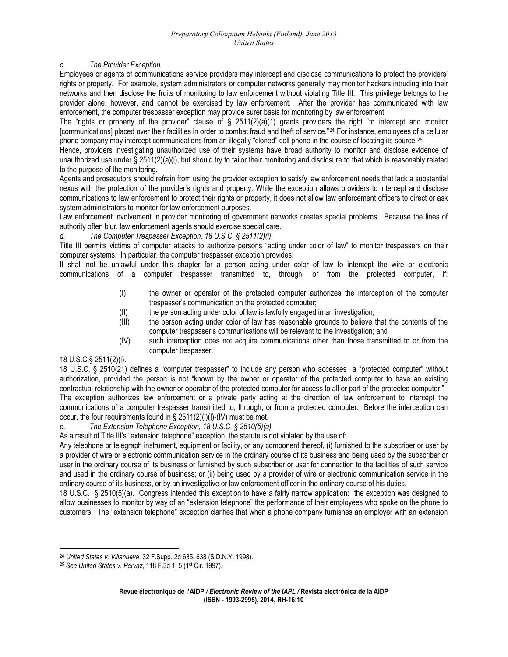#### *c. The Provider Exception*

Employees or agents of communications service providers may intercept and disclose communications to protect the providers' rights or property. For example, system administrators or computer networks generally may monitor hackers intruding into their networks and then disclose the fruits of monitoring to law enforcement without violating Title III. This privilege belongs to the provider alone, however, and cannot be exercised by law enforcement. After the provider has communicated with law enforcement, the computer trespasser exception may provide surer basis for monitoring by law enforcement.

The "rights or property of the provider" clause of § 2511(2)(a)(1) grants providers the right "to intercept and monitor [communications] placed over their facilities in order to combat fraud and theft of service."[24](#page-9-0) For instance, employees of a cellular phone company may intercept communications from an illegally "cloned" cell phone in the course of locating its source.[25](#page-9-1)

Hence, providers investigating unauthorized use of their systems have broad authority to monitor and disclose evidence of unauthorized use under § 2511(2)(a)(i), but should try to tailor their monitoring and disclosure to that which is reasonably related to the purpose of the monitoring.

Agents and prosecutors should refrain from using the provider exception to satisfy law enforcement needs that lack a substantial nexus with the protection of the provider's rights and property. While the exception allows providers to intercept and disclose communications to law enforcement to protect their rights or property, it does not allow law enforcement officers to direct or ask system administrators to monitor for law enforcement purposes.

Law enforcement involvement in provider monitoring of government networks creates special problems. Because the lines of authority often blur, law enforcement agents should exercise special care.

## *d. The Computer Trespasser Exception, 18 U.S.C. § 2511(2)(i)*

Title III permits victims of computer attacks to authorize persons "acting under color of law" to monitor trespassers on their computer systems. In particular, the computer trespasser exception provides:

It shall not be unlawful under this chapter for a person acting under color of law to intercept the wire or electronic communications of a computer trespasser transmitted to, through, or from the protected computer, if:

- (I) the owner or operator of the protected computer authorizes the interception of the computer trespasser's communication on the protected computer;
- (II) the person acting under color of law is lawfully engaged in an investigation;
- (III) the person acting under color of law has reasonable grounds to believe that the contents of the computer trespasser's communications will be relevant to the investigation; and
- (IV) such interception does not acquire communications other than those transmitted to or from the computer trespasser.

# 18 U.S.C.§ 2511(2)(i).

18 U.S.C. § 2510(21) defines a "computer trespasser" to include any person who accesses a "protected computer" without authorization, provided the person is not "known by the owner or operator of the protected computer to have an existing contractual relationship with the owner or operator of the protected computer for access to all or part of the protected computer." The exception authorizes law enforcement or a private party acting at the direction of law enforcement to intercept the communications of a computer trespasser transmitted to, through, or from a protected computer. Before the interception can

occur, the four requirements found in  $\S$  2511(2)(i)(I)-(IV) must be met. *e. The Extension Telephone Exception, 18 U.S.C. § 2510(5)(a)* 

As a result of Title III's "extension telephone" exception, the statute is not violated by the use of:

Any telephone or telegraph instrument, equipment or facility, or any component thereof, (i) furnished to the subscriber or user by a provider of wire or electronic communication service in the ordinary course of its business and being used by the subscriber or user in the ordinary course of its business or furnished by such subscriber or user for connection to the facilities of such service and used in the ordinary course of business; or (ii) being used by a provider of wire or electronic communication service in the ordinary course of its business, or by an investigative or law enforcement officer in the ordinary course of his duties.

18 U.S.C. § 2510(5)(a). Congress intended this exception to have a fairly narrow application: the exception was designed to allow businesses to monitor by way of an "extension telephone" the performance of their employees who spoke on the phone to customers. The "extension telephone" exception clarifies that when a phone company furnishes an employer with an extension

<span id="page-9-1"></span><span id="page-9-0"></span><sup>24</sup> *United States v. Villanueva*, 32 F.Supp. 2d 635, 638 (S.D.N.Y. 1998). 25 *See United States v. Pervaz*, 118 F.3d 1, 5 (1st Cir. 1997).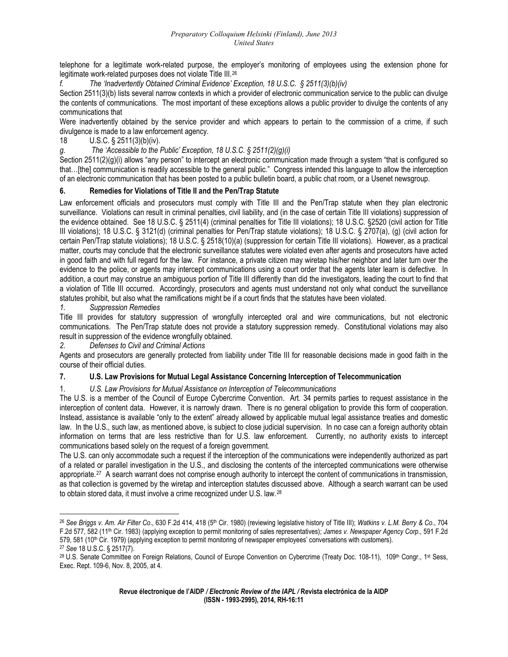telephone for a legitimate work-related purpose, the employer's monitoring of employees using the extension phone for legitimate work-related purposes does not violate Title III.[26](#page-10-0)

*f. The 'Inadvertently Obtained Criminal Evidence' Exception, 18 U.S.C. § 2511(3)(b)(iv)* 

Section 2511(3)(b) lists several narrow contexts in which a provider of electronic communication service to the public can divulge the contents of communications. The most important of these exceptions allows a public provider to divulge the contents of any communications that

Were inadvertently obtained by the service provider and which appears to pertain to the commission of a crime, if such divulgence is made to a law enforcement agency.

18 U.S.C. § 2511(3)(b)(iv).

*g. The 'Accessible to the Public' Exception, 18 U.S.C. § 2511(2)(g)(i)* 

Section 2511(2)(g)(i) allows "any person" to intercept an electronic communication made through a system "that is configured so that…[the] communication is readily accessible to the general public." Congress intended this language to allow the interception of an electronic communication that has been posted to a public bulletin board, a public chat room, or a Usenet newsgroup.

# **6. Remedies for Violations of Title II and the Pen/Trap Statute**

Law enforcement officials and prosecutors must comply with Title III and the Pen/Trap statute when they plan electronic surveillance. Violations can result in criminal penalties, civil liability, and (in the case of certain Title III violations) suppression of the evidence obtained. See 18 U.S.C. § 2511(4) (criminal penalties for Title III violations); 18 U.S.C. §2520 (civil action for Title III violations); 18 U.S.C. § 3121(d) (criminal penalties for Pen/Trap statute violations); 18 U.S.C. § 2707(a), (g) (civil action for certain Pen/Trap statute violations); 18 U.S.C. § 2518(10)(a) (suppression for certain Title III violations). However, as a practical matter, courts may conclude that the electronic surveillance statutes were violated even after agents and prosecutors have acted in good faith and with full regard for the law. For instance, a private citizen may wiretap his/her neighbor and later turn over the evidence to the police, or agents may intercept communications using a court order that the agents later learn is defective. In addition, a court may construe an ambiguous portion of Title III differently than did the investigators, leading the court to find that a violation of Title III occurred. Accordingly, prosecutors and agents must understand not only what conduct the surveillance statutes prohibit, but also what the ramifications might be if a court finds that the statutes have been violated.

## *1. Suppression Remedies*

Title III provides for statutory suppression of wrongfully intercepted oral and wire communications, but not electronic communications. The Pen/Trap statute does not provide a statutory suppression remedy. Constitutional violations may also result in suppression of the evidence wrongfully obtained.

*2. Defenses to Civil and Criminal Actions* 

Agents and prosecutors are generally protected from liability under Title III for reasonable decisions made in good faith in the course of their official duties.

# **7. U.S. Law Provisions for Mutual Legal Assistance Concerning Interception of Telecommunication**

#### 1. *U.S. Law Provisions for Mutual Assistance on Interception of Telecommunications*

The U.S. is a member of the Council of Europe Cybercrime Convention. Art. 34 permits parties to request assistance in the interception of content data. However, it is narrowly drawn. There is no general obligation to provide this form of cooperation. Instead, assistance is available "only to the extent" already allowed by applicable mutual legal assistance treaties and domestic law. In the U.S., such law, as mentioned above, is subject to close judicial supervision. In no case can a foreign authority obtain information on terms that are less restrictive than for U.S. law enforcement. Currently, no authority exists to intercept communications based solely on the request of a foreign government.

The U.S. can only accommodate such a request if the interception of the communications were independently authorized as part of a related or parallel investigation in the U.S., and disclosing the contents of the intercepted communications were otherwise appropriate.<sup>[27](#page-10-1)</sup> A search warrant does not comprise enough authority to intercept the content of communications in transmission, as that collection is governed by the wiretap and interception statutes discussed above. Although a search warrant can be used to obtain stored data, it must involve a crime recognized under U.S. law.[28](#page-10-2)

<span id="page-10-0"></span><sup>26</sup> *See Briggs v. Am. Air Filter Co*., 630 F.2d 414, 418 (5th Cir. 1980) (reviewing legislative history of Title III); *Watkins v. L.M. Berry & Co*., 704 F.2d 577, 582 (11<sup>th</sup> Cir. 1983) (applying exception to permit monitoring of sales representatives); *James v. Newspaper Agency Corp.*, 591 F.2d 579, 591 F.2d 579, 591 F.2d 579, 591 F.2d 579, 591 F.2d 579, 591 F.2d 579, 58

<span id="page-10-2"></span><span id="page-10-1"></span><sup>27</sup> See 18 U.S.C. § 2517(7).<br><sup>28</sup> U.S. Senate Committee on Foreign Relations, Council of Europe Convention on Cybercrime (Treaty Doc. 108-11), 109<sup>th</sup> Congr., 1<sup>st</sup> Sess, Exec. Rept. 109-6, Nov. 8, 2005, at 4.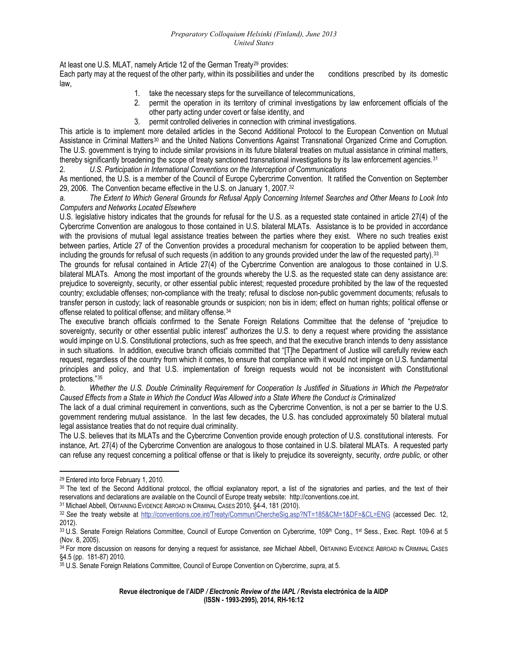At least one U.S. MLAT, namely Article 12 of the German Treaty<sup>[29](#page-11-0)</sup> provides:

Each party may at the request of the other party, within its possibilities and under the conditions prescribed by its domestic law,

- 1. take the necessary steps for the surveillance of telecommunications,
- 2. permit the operation in its territory of criminal investigations by law enforcement officials of the other party acting under covert or false identity, and
- 3. permit controlled deliveries in connection with criminal investigations.

This article is to implement more detailed articles in the Second Additional Protocol to the European Convention on Mutual Assistance in Criminal Matters<sup>[30](#page-11-1)</sup> and the United Nations Conventions Against Transnational Organized Crime and Corruption. The U.S. government is trying to include similar provisions in its future bilateral treaties on mutual assistance in criminal matters, thereby significantly broadening the scope of treaty sanctioned transnational investigations by its law enforcement agencies. [31](#page-11-2)

2. *U.S. Participation in International Conventions on the Interception of Communications* 

As mentioned, the U.S. is a member of the Council of Europe Cybercrime Convention. It ratified the Convention on September 29, 2006. The Convention became effective in the U.S. on January 1, 2007.[32](#page-11-3)

*a. The Extent to Which General Grounds for Refusal Apply Concerning Internet Searches and Other Means to Look Into Computers and Networks Located Elsewhere* 

U.S. legislative history indicates that the grounds for refusal for the U.S. as a requested state contained in article 27(4) of the Cybercrime Convention are analogous to those contained in U.S. bilateral MLATs. Assistance is to be provided in accordance with the provisions of mutual legal assistance treaties between the parties where they exist. Where no such treaties exist between parties, Article 27 of the Convention provides a procedural mechanism for cooperation to be applied between them, including the grounds for refusal of such requests (in addition to any grounds provided under the law of the requested party).<sup>[33](#page-11-4)</sup>

The grounds for refusal contained in Article 27(4) of the Cybercrime Convention are analogous to those contained in U.S. bilateral MLATs. Among the most important of the grounds whereby the U.S. as the requested state can deny assistance are: prejudice to sovereignty, security, or other essential public interest; requested procedure prohibited by the law of the requested country; excludable offenses; non-compliance with the treaty; refusal to disclose non-public government documents; refusals to transfer person in custody; lack of reasonable grounds or suspicion; non bis in idem; effect on human rights; political offense or offense related to political offense; and military offense.<sup>[34](#page-11-5)</sup>

The executive branch officials confirmed to the Senate Foreign Relations Committee that the defense of "prejudice to sovereignty, security or other essential public interest" authorizes the U.S. to deny a request where providing the assistance would impinge on U.S. Constitutional protections, such as free speech, and that the executive branch intends to deny assistance in such situations. In addition, executive branch officials committed that "[T]he Department of Justice will carefully review each request, regardless of the country from which it comes, to ensure that compliance with it would not impinge on U.S. fundamental principles and policy, and that U.S. implementation of foreign requests would not be inconsistent with Constitutional protections."[35](#page-11-6)

*b. Whether the U.S. Double Criminality Requirement for Cooperation Is Justified in Situations in Which the Perpetrator Caused Effects from a State in Which the Conduct Was Allowed into a State Where the Conduct is Criminalized* 

The lack of a dual criminal requirement in conventions, such as the Cybercrime Convention, is not a per se barrier to the U.S. government rendering mutual assistance. In the last few decades, the U.S. has concluded approximately 50 bilateral mutual legal assistance treaties that do not require dual criminality.

The U.S. believes that its MLATs and the Cybercrime Convention provide enough protection of U.S. constitutional interests. For instance, Art. 27(4) of the Cybercrime Convention are analogous to those contained in U.S. bilateral MLATs. A requested party can refuse any request concerning a political offense or that is likely to prejudice its sovereignty, security, *ordre public,* or other

 29 Entered into force February 1, 2010.

<span id="page-11-1"></span><span id="page-11-0"></span><sup>30</sup> The text of the Second Additional protocol, the official explanatory report, a list of the signatories and parties, and the text of their reservations and declarations are available on the Council of Europe treaty website: http://conventions.coe.int.<br><sup>31</sup> Michael Abbell, OBTAINING EVIDENCE ABROAD IN CRIMINAL CASES 2010, §4-4, 181 (2010).<br><sup>32</sup> See the treaty

<span id="page-11-2"></span>

<span id="page-11-3"></span><sup>2012).</sup> 

<span id="page-11-4"></span><sup>33</sup> U.S. Senate Foreign Relations Committee, Council of Europe Convention on Cybercrime, 109<sup>th</sup> Cong., 1<sup>st</sup> Sess., Exec. Rept. 109-6 at 5 (Nov. 8, 2005).

<span id="page-11-5"></span><sup>34</sup> For more discussion on reasons for denying a request for assistance, *see* Michael Abbell, OBTAINING EVIDENCE ABROAD IN CRIMINAL CASES §4.5 (pp. 181-87) 2010.

<span id="page-11-6"></span><sup>35</sup> U.S. Senate Foreign Relations Committee, Council of Europe Convention on Cybercrime, *supra*, at 5.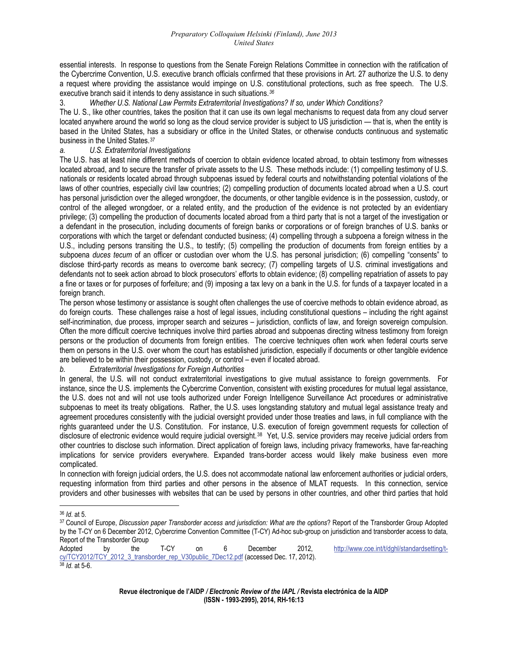essential interests. In response to questions from the Senate Foreign Relations Committee in connection with the ratification of the Cybercrime Convention, U.S. executive branch officials confirmed that these provisions in Art. 27 authorize the U.S. to deny a request where providing the assistance would impinge on U.S. constitutional protections, such as free speech. The U.S. executive branch said it intends to deny assistance in such situations.*[36](#page-12-0)*

3. *Whether U.S. National Law Permits Extraterritorial Investigations? If so, under Which Conditions?* 

The U. S., like other countries, takes the position that it can use its own legal mechanisms to request data from any cloud server located anywhere around the world so long as the cloud service provider is subject to US jurisdiction — that is, when the entity is based in the United States, has a subsidiary or office in the United States, or otherwise conducts continuous and systematic business in the United States.[37](#page-12-1)

#### *a. U.S. Extraterritorial Investigations*

The U.S. has at least nine different methods of coercion to obtain evidence located abroad, to obtain testimony from witnesses located abroad, and to secure the transfer of private assets to the U.S. These methods include: (1) compelling testimony of U.S. nationals or residents located abroad through subpoenas issued by federal courts and notwithstanding potential violations of the laws of other countries, especially civil law countries; (2) compelling production of documents located abroad when a U.S. court has personal jurisdiction over the alleged wrongdoer, the documents, or other tangible evidence is in the possession, custody, or control of the alleged wrongdoer, or a related entity, and the production of the evidence is not protected by an evidentiary privilege; (3) compelling the production of documents located abroad from a third party that is not a target of the investigation or a defendant in the prosecution, including documents of foreign banks or corporations or of foreign branches of U.S. banks or corporations with which the target or defendant conducted business; (4) compelling through a subpoena a foreign witness in the U.S., including persons transiting the U.S., to testify; (5) compelling the production of documents from foreign entities by a subpoena *duces tecum* of an officer or custodian over whom the U.S. has personal jurisdiction; (6) compelling "consents" to disclose third-party records as means to overcome bank secrecy; (7) compelling targets of U.S. criminal investigations and defendants not to seek action abroad to block prosecutors' efforts to obtain evidence; (8) compelling repatriation of assets to pay a fine or taxes or for purposes of forfeiture; and (9) imposing a tax levy on a bank in the U.S. for funds of a taxpayer located in a foreign branch.

The person whose testimony or assistance is sought often challenges the use of coercive methods to obtain evidence abroad, as do foreign courts. These challenges raise a host of legal issues, including constitutional questions – including the right against self-incrimination, due process, improper search and seizures – jurisdiction, conflicts of law, and foreign sovereign compulsion. Often the more difficult coercive techniques involve third parties abroad and subpoenas directing witness testimony from foreign persons or the production of documents from foreign entities. The coercive techniques often work when federal courts serve them on persons in the U.S. over whom the court has established jurisdiction, especially if documents or other tangible evidence are believed to be within their possession, custody, or control – even if located abroad.

*b. Extraterritorial Investigations for Foreign Authorities* 

In general, the U.S. will not conduct extraterritorial investigations to give mutual assistance to foreign governments. For instance, since the U.S. implements the Cybercrime Convention, consistent with existing procedures for mutual legal assistance, the U.S. does not and will not use tools authorized under Foreign Intelligence Surveillance Act procedures or administrative subpoenas to meet its treaty obligations. Rather, the U.S. uses longstanding statutory and mutual legal assistance treaty and agreement procedures consistently with the judicial oversight provided under those treaties and laws, in full compliance with the rights guaranteed under the U.S. Constitution. For instance, U.S. execution of foreign government requests for collection of disclosure of electronic evidence would require judicial oversight.<sup>[38](#page-12-2)</sup> Yet, U.S. service providers may receive judicial orders from other countries to disclose such information. Direct application of foreign laws, including privacy frameworks, have far-reaching implications for service providers everywhere. Expanded trans-border access would likely make business even more complicated.

In connection with foreign judicial orders, the U.S. does not accommodate national law enforcement authorities or judicial orders, requesting information from third parties and other persons in the absence of MLAT requests. In this connection, service providers and other businesses with websites that can be used by persons in other countries, and other third parties that hold

<span id="page-12-2"></span>Adopted by the T-CY on 6 December 2012, [http://www.coe.int/t/dghl/standardsetting/t](http://www.coe.int/t/dghl/standardsetting/t-cy/TCY2012/TCY_2012_3_transborder_rep_V30public_7Dec12.pdf)[cy/TCY2012/TCY\\_2012\\_3\\_transborder\\_rep\\_V30public\\_7Dec12.pdf](http://www.coe.int/t/dghl/standardsetting/t-cy/TCY2012/TCY_2012_3_transborder_rep_V30public_7Dec12.pdf) (accessed Dec. 17, 2012). 38 *Id*. at 5-6.

<span id="page-12-1"></span><span id="page-12-0"></span><sup>&</sup>lt;sup>36</sup> Id. at 5.<br><sup>37</sup> Council of Europe, *Discussion paper Transborder access and jurisdiction: What are the options*? Report of the Transborder Group Adopted by the T-CY on 6 December 2012, Cybercrime Convention Committee (T-CY) Ad-hoc sub-group on jurisdiction and transborder access to data, Report of the Transborder Group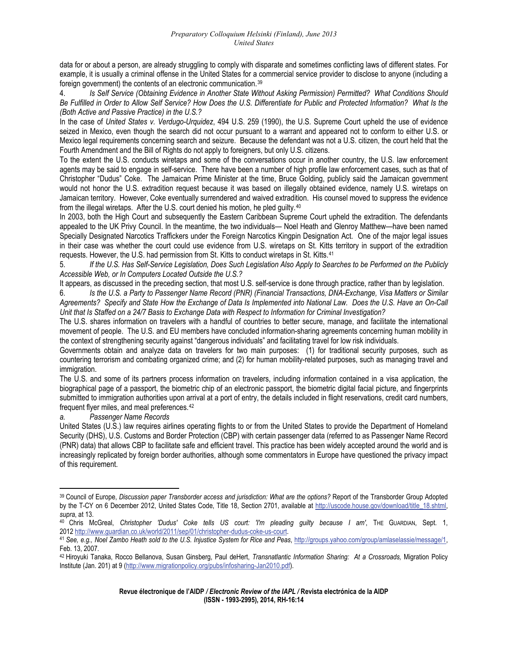data for or about a person, are already struggling to comply with disparate and sometimes conflicting laws of different states. For example, it is usually a criminal offense in the United States for a commercial service provider to disclose to anyone (including a foreign government) the contents of an electronic communication.<sup>[39](#page-13-0)</sup>

4. *Is Self Service (Obtaining Evidence in Another State Without Asking Permission) Permitted? What Conditions Should Be Fulfilled in Order to Allow Self Service? How Does the U.S. Differentiate for Public and Protected Information? What Is the (Both Active and Passive Practice) in the U.S.?* 

In the case of *United States v. Verdugo-Urquidez*, 494 U.S. 259 (1990), the U.S. Supreme Court upheld the use of evidence seized in Mexico, even though the search did not occur pursuant to a warrant and appeared not to conform to either U.S. or Mexico legal requirements concerning search and seizure. Because the defendant was not a U.S. citizen, the court held that the Fourth Amendment and the Bill of Rights do not apply to foreigners, but only U.S. citizens.

To the extent the U.S. conducts wiretaps and some of the conversations occur in another country, the U.S. law enforcement agents may be said to engage in self-service. There have been a number of high profile law enforcement cases, such as that of Christopher "Dudus" Coke. The Jamaican Prime Minister at the time, Bruce Golding, publicly said the Jamaican government would not honor the U.S. extradition request because it was based on illegally obtained evidence, namely U.S. wiretaps on Jamaican territory. However, Coke eventually surrendered and waived extradition. His counsel moved to suppress the evidence from the illegal wiretaps. After the U.S. court denied his motion, he pled guilty.[40](#page-13-1)

In 2003, both the High Court and subsequently the Eastern Caribbean Supreme Court upheld the extradition. The defendants appealed to the UK Privy Council. In the meantime, the two individuals— Noel Heath and Glenroy Matthew—have been named Specially Designated Narcotics Traffickers under the Foreign Narcotics Kingpin Designation Act. One of the major legal issues in their case was whether the court could use evidence from U.S. wiretaps on St. Kitts territory in support of the extradition requests. However, the U.S. had permission from St. Kitts to conduct wiretaps in St. Kitts.[41](#page-13-2)

5. *If the U.S. Has Self-Service Legislation, Does Such Legislation Also Apply to Searches to be Performed on the Publicly Accessible Web, or In Computers Located Outside the U.S.?* 

It appears, as discussed in the preceding section, that most U.S. self-service is done through practice, rather than by legislation.

6. *Is the U.S. a Party to Passenger Name Record (PNR) (Financial Transactions, DNA-Exchange, Visa Matters or Similar Agreements? Specify and State How the Exchange of Data Is Implemented into National Law. Does the U.S. Have an On-Call Unit that Is Staffed on a 24/7 Basis to Exchange Data with Respect to Information for Criminal Investigation?* 

The U.S. shares information on travelers with a handful of countries to better secure, manage, and facilitate the international movement of people. The U.S. and EU members have concluded information-sharing agreements concerning human mobility in the context of strengthening security against "dangerous individuals" and facilitating travel for low risk individuals.

Governments obtain and analyze data on travelers for two main purposes: (1) for traditional security purposes, such as countering terrorism and combating organized crime; and (2) for human mobility-related purposes, such as managing travel and immigration.

The U.S. and some of its partners process information on travelers, including information contained in a visa application, the biographical page of a passport, the biometric chip of an electronic passport, the biometric digital facial picture, and fingerprints submitted to immigration authorities upon arrival at a port of entry, the details included in flight reservations, credit card numbers, frequent flyer miles, and meal preferences.[42](#page-13-3)

*a. Passenger Name Records* 

United States (U.S.) law requires airlines operating flights to or from the United States to provide the Department of Homeland Security (DHS), U.S. Customs and Border Protection (CBP) with certain passenger data (referred to as Passenger Name Record (PNR) data) that allows CBP to facilitate safe and efficient travel. This practice has been widely accepted around the world and is increasingly replicated by foreign border authorities, although some commentators in Europe have questioned the privacy impact of this requirement.

<span id="page-13-0"></span><sup>39</sup> Council of Europe, *Discussion paper Transborder access and jurisdiction: What are the options?* Report of the Transborder Group Adopted by the T-CY on 6 December 2012, United States Code, Title 18, Section 2701, available at [http://uscode.house.gov/download/title\\_18.shtml,](http://uscode.house.gov/download/title_18.shtml) *supra*, at 13. 40 Chris McGreal, *Christopher 'Dudus' Coke tells US court: 'I'm pleading guilty because I am'*, THE GUARDIAN, Sept. 1,

<span id="page-13-1"></span><sup>2012</sup> [http://www.guardian.co.uk/world/2011/sep/01/christopher-dudus-coke-us-c](http://www.guardian.co.uk/world/2011/sep/01/christopher-dudus-coke-us-court)ourt.<br><sup>41</sup> See, e.g., Noel Zambo Heath sold to the U.S. Injustice System for Rice and Peas, [http://groups.yahoo.com/group/amlaselassie/message/1,](http://groups.yahoo.com/group/amlaselassie/message/1)

<span id="page-13-2"></span>Feb. 13, 2007.

<span id="page-13-3"></span><sup>42</sup> Hiroyuki Tanaka, Rocco Bellanova, Susan Ginsberg, Paul deHert, *Transnatlantic Information Sharing: At a Crossroads,* Migration Policy Institute (Jan. 201) at 9 ([http://www.migrationpolicy.org/pubs/infosharing-Jan2010.pdf\)](http://www.migrationpolicy.org/pubs/infosharing-Jan2010.pdf).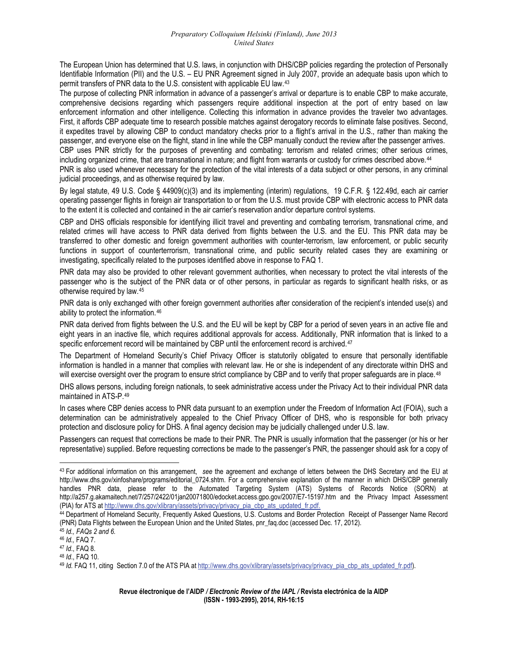The European Union has determined that U.S. laws, in conjunction with DHS/CBP policies regarding the protection of Personally Identifiable Information (PII) and the U.S. – EU PNR Agreement signed in July 2007, provide an adequate basis upon which to permit transfers of PNR data to the U.S. consistent with applicable EU law.[43](#page-14-0)

The purpose of collecting PNR information in advance of a passenger's arrival or departure is to enable CBP to make accurate, comprehensive decisions regarding which passengers require additional inspection at the port of entry based on law enforcement information and other intelligence. Collecting this information in advance provides the traveler two advantages. First, it affords CBP adequate time to research possible matches against derogatory records to eliminate false positives. Second, it expedites travel by allowing CBP to conduct mandatory checks prior to a flight's arrival in the U.S., rather than making the passenger, and everyone else on the flight, stand in line while the CBP manually conduct the review after the passenger arrives. CBP uses PNR strictly for the purposes of preventing and combating: terrorism and related crimes; other serious crimes, including organized crime, that are transnational in nature; and flight from warrants or custody for crimes described above.<sup>[44](#page-14-1)</sup>

PNR is also used whenever necessary for the protection of the vital interests of a data subject or other persons, in any criminal judicial proceedings, and as otherwise required by law.

By legal statute, 49 U.S. Code § 44909(c)(3) and its implementing (interim) regulations, 19 C.F.R. § 122.49d, each air carrier operating passenger flights in foreign air transportation to or from the U.S. must provide CBP with electronic access to PNR data to the extent it is collected and contained in the air carrier's reservation and/or departure control systems.

CBP and DHS officials responsible for identifying illicit travel and preventing and combating terrorism, transnational crime, and related crimes will have access to PNR data derived from flights between the U.S. and the EU. This PNR data may be transferred to other domestic and foreign government authorities with counter-terrorism, law enforcement, or public security functions in support of counterterrorism, transnational crime, and public security related cases they are examining or investigating, specifically related to the purposes identified above in response to FAQ 1.

PNR data may also be provided to other relevant government authorities, when necessary to protect the vital interests of the passenger who is the subject of the PNR data or of other persons, in particular as regards to significant health risks, or as otherwise required by law.[45](#page-14-2)

PNR data is only exchanged with other foreign government authorities after consideration of the recipient's intended use(s) and ability to protect the information.[46](#page-14-3)

PNR data derived from flights between the U.S. and the EU will be kept by CBP for a period of seven years in an active file and eight years in an inactive file, which requires additional approvals for access. Additionally, PNR information that is linked to a specific enforcement record will be maintained by CBP until the enforcement record is archived.<sup>[47](#page-14-4)</sup>

The Department of Homeland Security's Chief Privacy Officer is statutorily obligated to ensure that personally identifiable information is handled in a manner that complies with relevant law. He or she is independent of any directorate within DHS and will exercise oversight over the program to ensure strict compliance by CBP and to verify that proper safeguards are in place.<sup>[48](#page-14-5)</sup>

DHS allows persons, including foreign nationals, to seek administrative access under the Privacy Act to their individual PNR data maintained in ATS-P.[49](#page-14-6)

In cases where CBP denies access to PNR data pursuant to an exemption under the Freedom of Information Act (FOIA), such a determination can be administratively appealed to the Chief Privacy Officer of DHS, who is responsible for both privacy protection and disclosure policy for DHS. A final agency decision may be judicially challenged under U.S. law.

Passengers can request that corrections be made to their PNR. The PNR is usually information that the passenger (or his or her representative) supplied. Before requesting corrections be made to the passenger's PNR, the passenger should ask for a copy of

<span id="page-14-0"></span><sup>43</sup> For additional information on this arrangement, *see* the agreement and exchange of letters between the DHS Secretary and the EU at http://www.dhs.gov/xinfoshare/programs/editorial\_0724.shtm. For a comprehensive explanation of the manner in which DHS/CBP generally handles PNR data, please refer to the Automated Targeting System (ATS) Systems of Records Notice (SORN) at http://a257.g.akamaitech.net/7/257/2422/01jan20071800/edocket.access.gpo.gov/2007/E7-15197.htm and the Privacy Impact Assessment (PIA) for ATS at [http://www.dhs.gov/xlibrary/assets/privacy/privacy\\_pia\\_cbp\\_ats\\_updated\\_fr.pdf](http://www.dhs.gov/xlibrary/assets/privacy/privacy_pia_cbp_ats_updated_fr.pdf).

<span id="page-14-1"></span><sup>44</sup> Department of Homeland Security, Frequently Asked Questions, U.S. Customs and Border Protection Receipt of Passenger Name Record (PNR) Data Flights between the European Union and the United States, pnr\_faq.doc (accessed Dec. 17, 2012).

<span id="page-14-2"></span><sup>45</sup> *Id., FAQs 2 and 6.* 

<span id="page-14-3"></span>

<span id="page-14-5"></span>

<span id="page-14-6"></span>

<span id="page-14-4"></span><sup>47</sup> *Id.*, FAQ 8.<br><sup>48</sup> *Id.*, FAQ 10.<br><sup>49</sup> *Id.* FAQ 11, citing Section 7.0 of the ATS PIA at [http://www.dhs.gov/xlibrary/assets/privacy/privacy\\_pia\\_cbp\\_ats\\_updated\\_fr.pdf\)](http://www.dhs.gov/xlibrary/assets/privacy/privacy_pia_cbp_ats_updated_fr.pdf).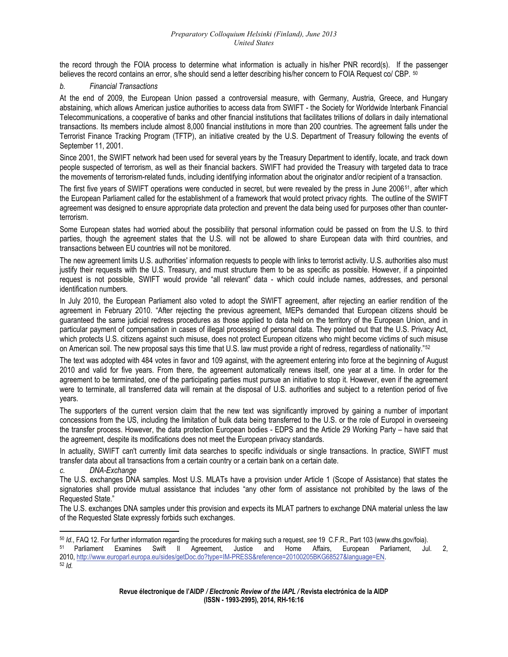the record through the FOIA process to determine what information is actually in his/her PNR record(s). If the passenger believes the record contains an error, s/he should send a letter describing his/her concern to FOIA Request co/ CBP, <sup>[50](#page-15-0)</sup>

*b. Financial Transactions* 

At the end of 2009, the European Union passed a controversial measure, with Germany, Austria, Greece, and Hungary abstaining, which allows American justice authorities to access data from SWIFT - the Society for Worldwide Interbank Financial Telecommunications, a cooperative of banks and other financial institutions that facilitates trillions of dollars in daily international transactions. Its members include almost 8,000 financial institutions in more than 200 countries. The agreement falls under the Terrorist Finance Tracking Program (TFTP), an initiative created by the U.S. Department of Treasury following the events of September 11, 2001.

Since 2001, the SWIFT network had been used for several years by the Treasury Department to identify, locate, and track down people suspected of terrorism, as well as their financial backers. SWIFT had provided the Treasury with targeted data to trace the movements of terrorism-related funds, including identifying information about the originator and/or recipient of a transaction.

The first five years of SWIFT operations were conducted in secret, but were revealed by the press in June 2006<sup>[51](#page-15-1)</sup>, after which the European Parliament called for the establishment of a framework that would protect privacy rights. The outline of the SWIFT agreement was designed to ensure appropriate data protection and prevent the data being used for purposes other than counterterrorism.

Some European states had worried about the possibility that personal information could be passed on from the U.S. to third parties, though the agreement states that the U.S. will not be allowed to share European data with third countries, and transactions between EU countries will not be monitored.

The new agreement limits U.S. authorities' information requests to people with links to terrorist activity. U.S. authorities also must justify their requests with the U.S. Treasury, and must structure them to be as specific as possible. However, if a pinpointed request is not possible, SWIFT would provide "all relevant" data - which could include names, addresses, and personal identification numbers.

In July 2010, the European Parliament also voted to adopt the SWIFT agreement, after rejecting an earlier rendition of the agreement in February 2010. "After rejecting the previous agreement, MEPs demanded that European citizens should be guaranteed the same judicial redress procedures as those applied to data held on the territory of the European Union, and in particular payment of compensation in cases of illegal processing of personal data. They pointed out that the U.S. Privacy Act, which protects U.S. citizens against such misuse, does not protect European citizens who might become victims of such misuse on American soil. The new proposal says this time that U.S. law must provide a right of redress, regardless of nationality."<sup>[52](#page-15-2)</sup>

The text was adopted with 484 votes in favor and 109 against, with the agreement entering into force at the beginning of August 2010 and valid for five years. From there, the agreement automatically renews itself, one year at a time. In order for the agreement to be terminated, one of the participating parties must pursue an initiative to stop it. However, even if the agreement were to terminate, all transferred data will remain at the disposal of U.S. authorities and subject to a retention period of five years.

The supporters of the current version claim that the new text was significantly improved by gaining a number of important concessions from the US, including the limitation of bulk data being transferred to the U.S. or the role of Europol in overseeing the transfer process. However, the data protection European bodies - EDPS and the Article 29 Working Party – have said that the agreement, despite its modifications does not meet the European privacy standards.

In actuality, SWIFT can't currently limit data searches to specific individuals or single transactions. In practice, SWIFT must transfer data about all transactions from a certain country or a certain bank on a certain date.

*c. DNA-Exchange* 

The U.S. exchanges DNA samples. Most U.S. MLATs have a provision under Article 1 (Scope of Assistance) that states the signatories shall provide mutual assistance that includes "any other form of assistance not prohibited by the laws of the Requested State."

The U.S. exchanges DNA samples under this provision and expects its MLAT partners to exchange DNA material unless the law of the Requested State expressly forbids such exchanges.

<span id="page-15-0"></span> <sup>50</sup> ld., FAQ 12. For further information regarding the procedures for making such a request, see 19 C.F.R., Part 103 (www.dhs.gov/foia).<br><sup>51</sup> Parliament Examines Swift II Agreement, Justice and Home Affairs, European Parl

<span id="page-15-2"></span><span id="page-15-1"></span><sup>2010, &</sup>lt;u>http://www.europarl.europa.eu/sides/getDoc.do?type=IM-PRESS&reference=20100205BKG68527&language=EN</u>.<br><sup>52</sup> *Id.*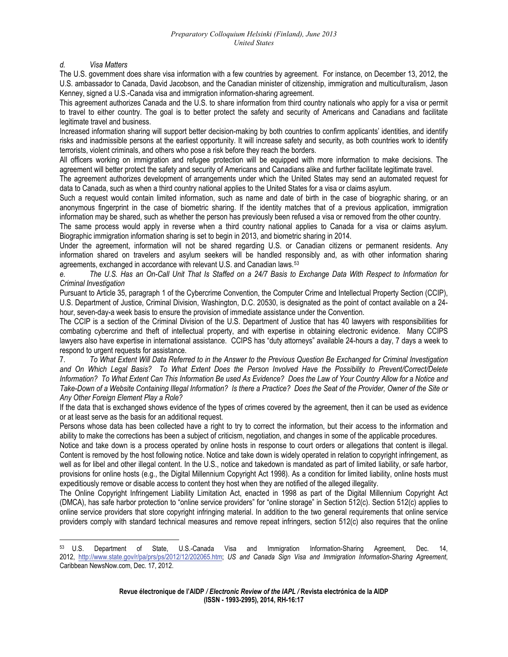*d. Visa Matters* 

The U.S. government does share visa information with a few countries by agreement. For instance, on December 13, 2012, the U.S. ambassador to Canada, David Jacobson, and the Canadian minister of citizenship, immigration and multiculturalism, Jason Kenney, signed a U.S.-Canada visa and immigration information-sharing agreement.

This agreement authorizes Canada and the U.S. to share information from third country nationals who apply for a visa or permit to travel to either country. The goal is to better protect the safety and security of Americans and Canadians and facilitate legitimate travel and business.

Increased information sharing will support better decision-making by both countries to confirm applicants' identities, and identify risks and inadmissible persons at the earliest opportunity. It will increase safety and security, as both countries work to identify terrorists, violent criminals, and others who pose a risk before they reach the borders.

All officers working on immigration and refugee protection will be equipped with more information to make decisions. The agreement will better protect the safety and security of Americans and Canadians alike and further facilitate legitimate travel.

The agreement authorizes development of arrangements under which the United States may send an automated request for data to Canada, such as when a third country national applies to the United States for a visa or claims asylum.

Such a request would contain limited information, such as name and date of birth in the case of biographic sharing, or an anonymous fingerprint in the case of biometric sharing. If the identity matches that of a previous application, immigration information may be shared, such as whether the person has previously been refused a visa or removed from the other country.

The same process would apply in reverse when a third country national applies to Canada for a visa or claims asylum. Biographic immigration information sharing is set to begin in 2013, and biometric sharing in 2014.

Under the agreement, information will not be shared regarding U.S. or Canadian citizens or permanent residents. Any information shared on travelers and asylum seekers will be handled responsibly and, as with other information sharing agreements, exchanged in accordance with relevant U.S. and Canadian laws.[53](#page-16-0)

*e. The U.S. Has an On-Call Unit That Is Staffed on a 24/7 Basis to Exchange Data With Respect to Information for Criminal Investigation* 

Pursuant to Article 35, paragraph 1 of the Cybercrime Convention, the Computer Crime and Intellectual Property Section (CCIP), U.S. Department of Justice, Criminal Division, Washington, D.C. 20530, is designated as the point of contact available on a 24 hour, seven-day-a week basis to ensure the provision of immediate assistance under the Convention.

The CCIP is a section of the Criminal Division of the U.S. Department of Justice that has 40 lawyers with responsibilities for combating cybercrime and theft of intellectual property, and with expertise in obtaining electronic evidence. Many CCIPS lawyers also have expertise in international assistance. CCIPS has "duty attorneys" available 24-hours a day, 7 days a week to respond to urgent requests for assistance.

7. *To What Extent Will Data Referred to in the Answer to the Previous Question Be Exchanged for Criminal Investigation and On Which Legal Basis? To What Extent Does the Person Involved Have the Possibility to Prevent/Correct/Delete Information? To What Extent Can This Information Be used As Evidence? Does the Law of Your Country Allow for a Notice and Take-Down of a Website Containing Illegal Information? Is there a Practice? Does the Seat of the Provider, Owner of the Site or Any Other Foreign Element Play a Role?* 

If the data that is exchanged shows evidence of the types of crimes covered by the agreement, then it can be used as evidence or at least serve as the basis for an additional request.

Persons whose data has been collected have a right to try to correct the information, but their access to the information and ability to make the corrections has been a subject of criticism, negotiation, and changes in some of the applicable procedures.

Notice and take down is a process operated by online hosts in response to court orders or allegations that content is illegal. Content is removed by the host following notice. Notice and take down is widely operated in relation to copyright infringement, as well as for libel and other illegal content. In the U.S., notice and takedown is mandated as part of limited liability, or safe harbor, provisions for online hosts (e.g., the Digital Millennium Copyright Act 1998). As a condition for limited liability, online hosts must expeditiously remove or disable access to content they host when they are notified of the alleged illegality.

The Online Copyright Infringement Liability Limitation Act, enacted in 1998 as part of the Digital Millennium Copyright Act (DMCA), has safe harbor protection to "online service providers" for "online storage" in Section 512(c). Section 512(c) applies to online service providers that store copyright infringing material. In addition to the two general requirements that online service providers comply with standard technical measures and remove repeat infringers, section 512(c) also requires that the online

<span id="page-16-0"></span><sup>53</sup> U.S. Department of State, U.S.-Canada Visa and Immigration Information-Sharing Agreement, Dec. 14, 2012, [http://www.state.gov/r/pa/prs/ps/2012/12/202065.htm;](http://www.state.gov/r/pa/prs/ps/2012/12/202065.htm) *US and Canada Sign Visa and Immigration Information-Sharing Agreement*, Caribbean NewsNow.com, Dec. 17, 2012.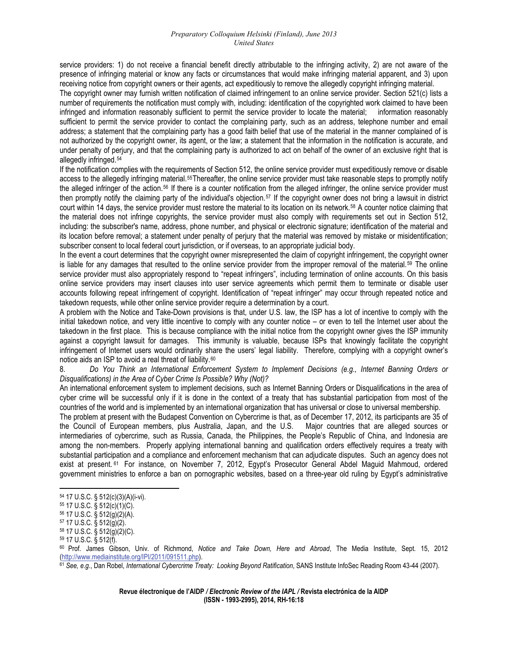service providers: 1) do not receive a financial benefit directly attributable to the infringing activity, 2) are not aware of the presence of infringing material or know any facts or circumstances that would make infringing material apparent, and 3) upon receiving notice from copyright owners or their agents, act expeditiously to remove the allegedly copyright infringing material.

The copyright owner may furnish written notification of claimed infringement to an online service provider. Section 521(c) lists a number of requirements the notification must comply with, including: identification of the copyrighted work claimed to have been infringed and information reasonably sufficient to permit the service provider to locate the material; information reasonably sufficient to permit the service provider to contact the complaining party, such as an address, telephone number and email address; a statement that the complaining party has a good faith belief that use of the material in the manner complained of is not authorized by the copyright owner, its agent, or the law; a statement that the information in the notification is accurate, and under penalty of perjury, and that the complaining party is authorized to act on behalf of the owner of an exclusive right that is allegedly infringed.[54](#page-17-0)

If the notification complies with the requirements of Section 512, the online service provider must expeditiously remove or disable access to the allegedly infringing material.<sup>[55](#page-17-1)</sup>Thereafter, the online service provider must take reasonable steps to promptly notify the alleged infringer of the action.[56](#page-17-2) If there is a counter notification from the alleged infringer, the online service provider must then promptly notify the claiming party of the individual's objection.[57](#page-17-3) If the copyright owner does not bring a lawsuit in district court within 14 days, the service provider must restore the material to its location on its network.[58](#page-17-4) A counter notice claiming that the material does not infringe copyrights, the service provider must also comply with requirements set out in Section 512, including: the subscriber's name, address, phone number, and physical or electronic signature; identification of the material and its location before removal; a statement under penalty of perjury that the material was removed by mistake or misidentification; subscriber consent to local federal court jurisdiction, or if overseas, to an appropriate judicial body.

In the event a court determines that the copyright owner misrepresented the claim of copyright infringement, the copyright owner is liable for any damages that resulted to the online service provider from the improper removal of the material.<sup>[59](#page-17-5)</sup> The online service provider must also appropriately respond to "repeat infringers", including termination of online accounts. On this basis online service providers may insert clauses into user service agreements which permit them to terminate or disable user accounts following repeat infringement of copyright. Identification of "repeat infringer" may occur through repeated notice and takedown requests, while other online service provider require a determination by a court.

A problem with the Notice and Take-Down provisions is that, under U.S. law, the ISP has a lot of incentive to comply with the initial takedown notice, and very little incentive to comply with any counter notice – or even to tell the Internet user about the takedown in the first place. This is because compliance with the initial notice from the copyright owner gives the ISP immunity against a copyright lawsuit for damages. This immunity is valuable, because ISPs that knowingly facilitate the copyright infringement of Internet users would ordinarily share the users' legal liability. Therefore, complying with a copyright owner's notice aids an ISP to avoid a real threat of liability.<sup>[60](#page-17-6)</sup>

8. *Do You Think an International Enforcement System to Implement Decisions (e.g., Internet Banning Orders or Disqualifications) in the Area of Cyber Crime Is Possible? Why (Not)?* 

An international enforcement system to implement decisions, such as Internet Banning Orders or Disqualifications in the area of cyber crime will be successful only if it is done in the context of a treaty that has substantial participation from most of the countries of the world and is implemented by an international organization that has universal or close to universal membership.

The problem at present with the Budapest Convention on Cybercrime is that, as of December 17, 2012, its participants are 35 of the Council of European members, plus Australia, Japan, and the U.S. Major countries that are alleged sources or intermediaries of cybercrime, such as Russia, Canada, the Philippines, the People's Republic of China, and Indonesia are among the non-members. Properly applying international banning and qualification orders effectively requires a treaty with substantial participation and a compliance and enforcement mechanism that can adjudicate disputes. Such an agency does not exist at present. [61](#page-17-7) For instance, on November 7, 2012, Egypt's Prosecutor General Abdel Maguid Mahmoud, ordered government ministries to enforce a ban on pornographic websites, based on a three-year old ruling by Egypt's administrative

**Revue électronique de l'AIDP** */ Electronic Review of the IAPL /* **Revista electrónica de la AIDP (ISSN - 1993-2995), 2014, RH-16:18** 

<span id="page-17-0"></span><sup>54 17</sup> U.S.C. § 512(c)(3)(A)(i-vi).

<span id="page-17-1"></span><sup>55 17</sup> U.S.C. § 512(c)(1)(C).

<span id="page-17-2"></span><sup>56 17</sup> U.S.C. § 512(g)(2)(A).

<span id="page-17-3"></span><sup>57 17</sup> U.S.C. § 512(g)(2).

<span id="page-17-4"></span><sup>58 17</sup> U.S.C. § 512(g)(2)(C).

<span id="page-17-5"></span><sup>59 17</sup> U.S.C. § 512(f).

<span id="page-17-6"></span><sup>60</sup> Prof. James Gibson, Univ. of Richmond, *Notice and Take Down, Here and Abroad*, The Media Institute, Sept. 15, 2012<br>(http://www.mediainstitute.org/IPI/2011/091511.php).

<span id="page-17-7"></span><sup>&</sup>lt;sup>61</sup> See, e.g., Dan Robel, *International Cybercrime Treaty: Looking Beyond Ratification*, SANS Institute InfoSec Reading Room 43-44 (2007).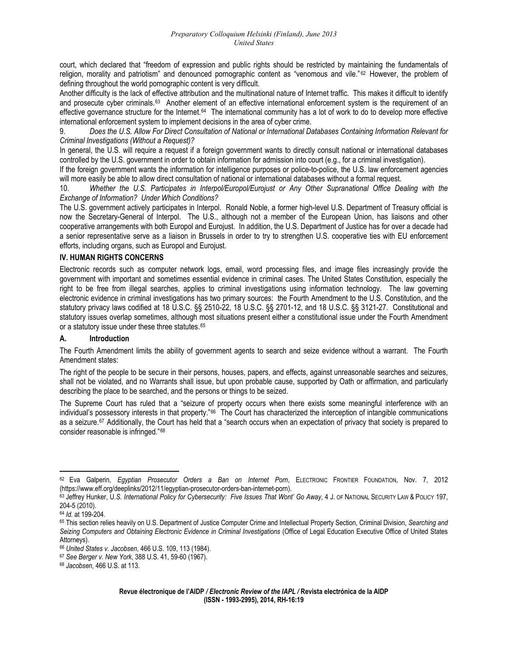court, which declared that "freedom of expression and public rights should be restricted by maintaining the fundamentals of religion, morality and patriotism" and denounced pornographic content as "venomous and vile." [62](#page-18-0) However, the problem of defining throughout the world pornographic content is very difficult.

Another difficulty is the lack of effective attribution and the multinational nature of Internet traffic. This makes it difficult to identify and prosecute cyber criminals.[63](#page-18-1) Another element of an effective international enforcement system is the requirement of an effective governance structure for the Internet.<sup>[64](#page-18-2)</sup> The international community has a lot of work to do to develop more effective international enforcement system to implement decisions in the area of cyber crime.

9. *Does the U.S. Allow For Direct Consultation of National or International Databases Containing Information Relevant for Criminal Investigations (Without a Request)?* 

In general, the U.S. will require a request if a foreign government wants to directly consult national or international databases controlled by the U.S. government in order to obtain information for admission into court (e.g., for a criminal investigation).

If the foreign government wants the information for intelligence purposes or police-to-police, the U.S. law enforcement agencies will more easily be able to allow direct consultation of national or international databases without a formal request.

10. *Whether the U.S. Participates in Interpol/Europol/Eurojust or Any Other Supranational Office Dealing with the Exchange of Information? Under Which Conditions?* 

The U.S. government actively participates in Interpol. Ronald Noble, a former high-level U.S. Department of Treasury official is now the Secretary-General of Interpol. The U.S., although not a member of the European Union, has liaisons and other cooperative arrangements with both Europol and Eurojust. In addition, the U.S. Department of Justice has for over a decade had a senior representative serve as a liaison in Brussels in order to try to strengthen U.S. cooperative ties with EU enforcement efforts, including organs, such as Europol and Eurojust.

## **IV. HUMAN RIGHTS CONCERNS**

Electronic records such as computer network logs, email, word processing files, and image files increasingly provide the government with important and sometimes essential evidence in criminal cases. The United States Constitution, especially the right to be free from illegal searches, applies to criminal investigations using information technology. The law governing electronic evidence in criminal investigations has two primary sources: the Fourth Amendment to the U.S. Constitution, and the statutory privacy laws codified at 18 U.S.C. §§ 2510-22, 18 U.S.C. §§ 2701-12, and 18 U.S.C. §§ 3121-27. Constitutional and statutory issues overlap sometimes, although most situations present either a constitutional issue under the Fourth Amendment or a statutory issue under these three statutes.<sup>[65](#page-18-3)</sup>

#### **A. Introduction**

The Fourth Amendment limits the ability of government agents to search and seize evidence without a warrant. The Fourth Amendment states:

The right of the people to be secure in their persons, houses, papers, and effects, against unreasonable searches and seizures, shall not be violated, and no Warrants shall issue, but upon probable cause, supported by Oath or affirmation, and particularly describing the place to be searched, and the persons or things to be seized.

The Supreme Court has ruled that a "seizure of property occurs when there exists some meaningful interference with an individual's possessory interests in that property."[66](#page-18-4) The Court has characterized the interception of intangible communications as a seizure.<sup>[67](#page-18-5)</sup> Additionally, the Court has held that a "search occurs when an expectation of privacy that society is prepared to consider reasonable is infringed."[68](#page-18-6)

<span id="page-18-0"></span><sup>62</sup> Eva Galperin, *Egyptian Prosecutor Orders a Ban on Internet Porn*, ELECTRONIC FRONTIER FOUNDATION, Nov. 7, 2012 (https://www.eff.org/deeplinks/2012/11/egyptian-prosecutor-orders-ban-internet-porn).<br><sup>63</sup> Jeffrey Hunker, U.S. International Policy for Cybersecurity: Five Issues That Wont' Go Away, 4 J. OF NATIONAL SECURITY LAW & POLICY

<span id="page-18-1"></span><sup>204-5 (2010).&</sup>lt;br><sup>64</sup> Id. at 199-204.

<span id="page-18-2"></span>

<span id="page-18-3"></span><sup>65</sup> This section relies heavily on U.S. Department of Justice Computer Crime and Intellectual Property Section, Criminal Division, Searching and *Seizing Computers and Obtaining Electronic Evidence in Criminal Investigations* (Office of Legal Education Executive Office of United States

<span id="page-18-4"></span>Attorneys).<br><sup>66</sup> United States v. Jacobsen, 466 U.S. 109, 113 (1984).

<span id="page-18-6"></span><span id="page-18-5"></span><sup>&</sup>lt;sup>67</sup> See Berger v. New York, 388 U.S. 41, 59-60 (1967).<br><sup>68</sup> Jacobsen, 466 U.S. at 113.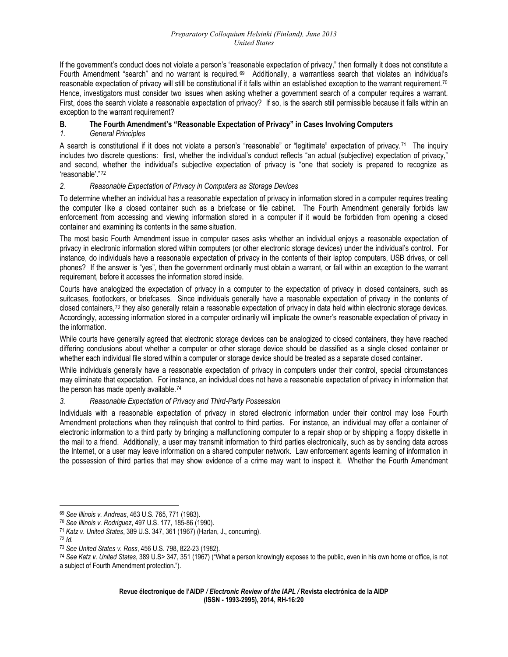If the government's conduct does not violate a person's "reasonable expectation of privacy," then formally it does not constitute a Fourth Amendment "search" and no warrant is required. [69](#page-19-0) Additionally, a warrantless search that violates an individual's reasonable expectation of privacy will still be constitutional if it falls within an established exception to the warrant requirement.<sup>[70](#page-19-1)</sup> Hence, investigators must consider two issues when asking whether a government search of a computer requires a warrant. First, does the search violate a reasonable expectation of privacy? If so, is the search still permissible because it falls within an exception to the warrant requirement?

# **B. The Fourth Amendment's "Reasonable Expectation of Privacy" in Cases Involving Computers**

## *1. General Principles*

A search is constitutional if it does not violate a person's "reasonable" or "legitimate" expectation of privacy. [71](#page-19-2) The inquiry includes two discrete questions: first, whether the individual's conduct reflects "an actual (subjective) expectation of privacy," and second, whether the individual's subjective expectation of privacy is "one that society is prepared to recognize as 'reasonable'."[72](#page-19-3)

## *2. Reasonable Expectation of Privacy in Computers as Storage Devices*

To determine whether an individual has a reasonable expectation of privacy in information stored in a computer requires treating the computer like a closed container such as a briefcase or file cabinet. The Fourth Amendment generally forbids law enforcement from accessing and viewing information stored in a computer if it would be forbidden from opening a closed container and examining its contents in the same situation.

The most basic Fourth Amendment issue in computer cases asks whether an individual enjoys a reasonable expectation of privacy in electronic information stored within computers (or other electronic storage devices) under the individual's control. For instance, do individuals have a reasonable expectation of privacy in the contents of their laptop computers, USB drives, or cell phones? If the answer is "yes", then the government ordinarily must obtain a warrant, or fall within an exception to the warrant requirement, before it accesses the information stored inside.

Courts have analogized the expectation of privacy in a computer to the expectation of privacy in closed containers, such as suitcases, footlockers, or briefcases. Since individuals generally have a reasonable expectation of privacy in the contents of closed containers,<sup>[73](#page-19-4)</sup> they also generally retain a reasonable expectation of privacy in data held within electronic storage devices. Accordingly, accessing information stored in a computer ordinarily will implicate the owner's reasonable expectation of privacy in the information.

While courts have generally agreed that electronic storage devices can be analogized to closed containers, they have reached differing conclusions about whether a computer or other storage device should be classified as a single closed container or whether each individual file stored within a computer or storage device should be treated as a separate closed container.

While individuals generally have a reasonable expectation of privacy in computers under their control, special circumstances may eliminate that expectation. For instance, an individual does not have a reasonable expectation of privacy in information that the person has made openly available.<sup>[74](#page-19-5)</sup>

#### *3. Reasonable Expectation of Privacy and Third-Party Possession*

Individuals with a reasonable expectation of privacy in stored electronic information under their control may lose Fourth Amendment protections when they relinquish that control to third parties. For instance, an individual may offer a container of electronic information to a third party by bringing a malfunctioning computer to a repair shop or by shipping a floppy diskette in the mail to a friend. Additionally, a user may transmit information to third parties electronically, such as by sending data across the Internet, or a user may leave information on a shared computer network. Law enforcement agents learning of information in the possession of third parties that may show evidence of a crime may want to inspect it. Whether the Fourth Amendment

<span id="page-19-1"></span><span id="page-19-0"></span><sup>&</sup>lt;sup>69</sup> See Illinois v. Andreas, 463 U.S. 765, 771 (1983).<br><sup>70</sup> See Illinois v. Rodriguez, 497 U.S. 177, 185-86 (1990).<br><sup>71</sup> Katz v. United States, 389 U.S. 347, 361 (1967) (Harlan, J., concurring).<br><sup>72</sup> Id.<br><sup>73</sup> See United

<span id="page-19-3"></span><span id="page-19-2"></span>

<span id="page-19-5"></span><span id="page-19-4"></span><sup>&</sup>lt;sup>74</sup> See Katz v. United States, 389 U.S> 347, 351 (1967) ("What a person knowingly exposes to the public, even in his own home or office, is not a subject of Fourth Amendment protection.").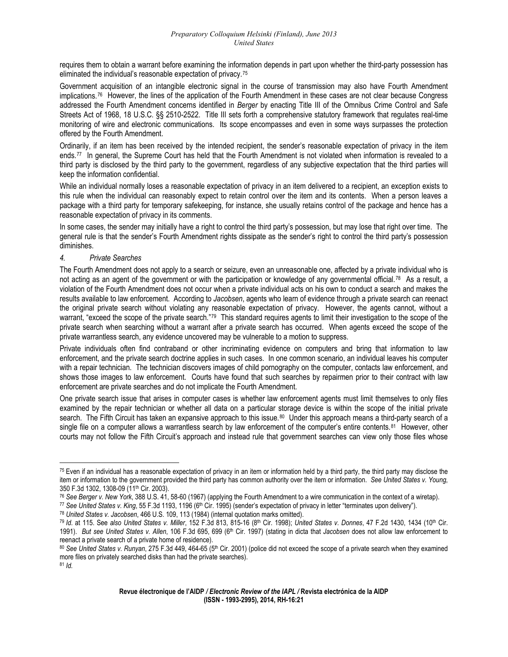requires them to obtain a warrant before examining the information depends in part upon whether the third-party possession has eliminated the individual's reasonable expectation of privacy.[75](#page-20-0)

Government acquisition of an intangible electronic signal in the course of transmission may also have Fourth Amendment implications.[76](#page-20-1) However, the lines of the application of the Fourth Amendment in these cases are not clear because Congress addressed the Fourth Amendment concerns identified in *Berger* by enacting Title III of the Omnibus Crime Control and Safe Streets Act of 1968, 18 U.S.C. §§ 2510-2522. Title III sets forth a comprehensive statutory framework that regulates real-time monitoring of wire and electronic communications. Its scope encompasses and even in some ways surpasses the protection offered by the Fourth Amendment.

Ordinarily, if an item has been received by the intended recipient, the sender's reasonable expectation of privacy in the item ends.[77](#page-20-2) In general, the Supreme Court has held that the Fourth Amendment is not violated when information is revealed to a third party is disclosed by the third party to the government, regardless of any subjective expectation that the third parties will keep the information confidential.

While an individual normally loses a reasonable expectation of privacy in an item delivered to a recipient, an exception exists to this rule when the individual can reasonably expect to retain control over the item and its contents. When a person leaves a package with a third party for temporary safekeeping, for instance, she usually retains control of the package and hence has a reasonable expectation of privacy in its comments.

In some cases, the sender may initially have a right to control the third party's possession, but may lose that right over time. The general rule is that the sender's Fourth Amendment rights dissipate as the sender's right to control the third party's possession diminishes.

#### *4. Private Searches*

The Fourth Amendment does not apply to a search or seizure, even an unreasonable one, affected by a private individual who is not acting as an agent of the government or with the participation or knowledge of any governmental official.<sup>[78](#page-20-3)</sup> As a result, a violation of the Fourth Amendment does not occur when a private individual acts on his own to conduct a search and makes the results available to law enforcement. According to *Jacobsen*, agents who learn of evidence through a private search can reenact the original private search without violating any reasonable expectation of privacy. However, the agents cannot, without a warrant, "exceed the scope of the private search."<sup>[79](#page-20-4)</sup> This standard requires agents to limit their investigation to the scope of the private search when searching without a warrant after a private search has occurred. When agents exceed the scope of the private warrantless search, any evidence uncovered may be vulnerable to a motion to suppress.

Private individuals often find contraband or other incriminating evidence on computers and bring that information to law enforcement, and the private search doctrine applies in such cases. In one common scenario, an individual leaves his computer with a repair technician. The technician discovers images of child pornography on the computer, contacts law enforcement, and shows those images to law enforcement. Courts have found that such searches by repairmen prior to their contract with law enforcement are private searches and do not implicate the Fourth Amendment.

One private search issue that arises in computer cases is whether law enforcement agents must limit themselves to only files examined by the repair technician or whether all data on a particular storage device is within the scope of the initial private search. The Fifth Circuit has taken an expansive approach to this issue.<sup>[80](#page-20-5)</sup> Under this approach means a third-party search of a single file on a computer allows a warrantless search by law enforcement of the computer's entire contents.<sup>[81](#page-20-6)</sup> However, other courts may not follow the Fifth Circuit's approach and instead rule that government searches can view only those files whose

<span id="page-20-0"></span> $75$  Even if an individual has a reasonable expectation of privacy in an item or information held by a third party, the third party may disclose the item or information to the government provided the third party has common authority over the item or information. *See United States v. Young*,

<span id="page-20-1"></span><sup>350</sup> F.3d 1302, 1308-09 (11<sup>th</sup> Cir. 2003).<br><sup>76</sup> See Berger v. New York, 388 U.S. 41, 58-60 (1967) (applying the Fourth Amendment to a wire communication in the context of a wiretap).<br><sup>76</sup> See Berger v. New York, 388 U.S. 4

<span id="page-20-2"></span>

<span id="page-20-3"></span>

<span id="page-20-4"></span><sup>1991).</sup> *But see United States v. Allen*, 106 F.3d 695, 699 (6th Cir. 1997) (stating in dicta that *Jacobsen* does not allow law enforcement to reenact a private search of a private home of residence).

<span id="page-20-6"></span><span id="page-20-5"></span><sup>80</sup> See United States v. Runyan, 275 F.3d 449, 464-65 (5<sup>th</sup> Cir. 2001) (police did not exceed the scope of a private search when they examined more files on privately searched disks than had the private searches). 81 *Id.*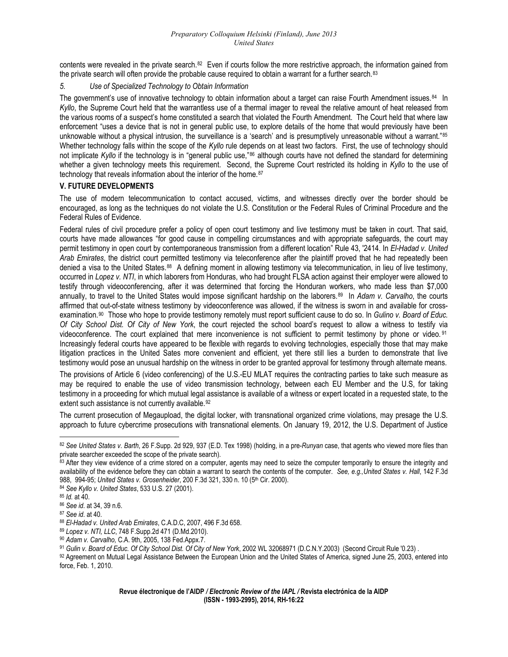contents were revealed in the private search.<sup>[82](#page-21-0)</sup> Even if courts follow the more restrictive approach, the information gained from the private search will often provide the probable cause required to obtain a warrant for a further search.<sup>[83](#page-21-1)</sup>

## *5. Use of Specialized Technology to Obtain Information*

The government's use of innovative technology to obtain information about a target can raise Fourth Amendment issues.<sup>[84](#page-21-2)</sup> In *Kyllo*, the Supreme Court held that the warrantless use of a thermal imager to reveal the relative amount of heat released from the various rooms of a suspect's home constituted a search that violated the Fourth Amendment. The Court held that where law enforcement "uses a device that is not in general public use, to explore details of the home that would previously have been unknowable without a physical intrusion, the surveillance is a 'search' and is presumptively unreasonable without a warrant."[85](#page-21-3) Whether technology falls within the scope of the *Kyllo* rule depends on at least two factors. First, the use of technology should not implicate *Kyllo* if the technology is in "general public use,"[86](#page-21-4) although courts have not defined the standard for determining whether a given technology meets this requirement. Second, the Supreme Court restricted its holding in *Kyllo* to the use of technology that reveals information about the interior of the home.<sup>[87](#page-21-5)</sup>

## **V. FUTURE DEVELOPMENTS**

The use of modern telecommunication to contact accused, victims, and witnesses directly over the border should be encouraged, as long as the techniques do not violate the U.S. Constitution or the Federal Rules of Criminal Procedure and the Federal Rules of Evidence.

Federal rules of civil procedure prefer a policy of open court testimony and live testimony must be taken in court. That said, courts have made allowances "for good cause in compelling circumstances and with appropriate safeguards, the court may permit testimony in open court by contemporaneous transmission from a different location" Rule 43, '2414. In *El-Hadad v. United Arab Emirates*, the district court permitted testimony via teleconference after the plaintiff proved that he had repeatedly been denied a visa to the United States.[88](#page-21-6) A defining moment in allowing testimony via telecommunication, in lieu of live testimony, occurred in *Lopez v. NTI*, in which laborers from Honduras, who had brought FLSA action against their employer were allowed to testify through videoconferencing, after it was determined that forcing the Honduran workers, who made less than \$7,000 annually, to travel to the United States would impose significant hardship on the laborers.[89](#page-21-7) In *Adam v. Carvalho*, the courts affirmed that out-of-state witness testimony by videoconference was allowed, if the witness is sworn in and available for crossexamination.[90](#page-21-8) Those who hope to provide testimony remotely must report sufficient cause to do so. In *Gulino v. Board of Educ. Of City School Dist. Of City of New York*, the court rejected the school board's request to allow a witness to testify via videoconference. The court explained that mere inconvenience is not sufficient to permit testimony by phone or video. [91](#page-21-9) Increasingly federal courts have appeared to be flexible with regards to evolving technologies, especially those that may make litigation practices in the United Sates more convenient and efficient, yet there still lies a burden to demonstrate that live testimony would pose an unusual hardship on the witness in order to be granted approval for testimony through alternate means.

The provisions of Article 6 (video conferencing) of the U.S.-EU MLAT requires the contracting parties to take such measure as may be required to enable the use of video transmission technology, between each EU Member and the U.S, for taking testimony in a proceeding for which mutual legal assistance is available of a witness or expert located in a requested state, to the extent such assistance is not currently available.<sup>[92](#page-21-10)</sup>

The current prosecution of Megaupload, the digital locker, with transnational organized crime violations, may presage the U.S. approach to future cybercrime prosecutions with transnational elements. On January 19, 2012, the U.S. Department of Justice

<span id="page-21-0"></span><sup>82</sup> *See United States v. Barth*, 26 F.Supp. 2d 929, 937 (E.D. Tex 1998) (holding, in a pre-*Runyan* case, that agents who viewed more files than private searcher exceeded the scope of the private search).

<span id="page-21-1"></span><sup>83</sup> After they view evidence of a crime stored on a computer, agents may need to seize the computer temporarily to ensure the integrity and availability of the evidence before they can obtain a warrant to search the contents of the computer. *See, e.g., United States v. Hall, 142 F.3d* 988, 994-95; United States v. Grosenheider, 200 F.3d 321, 330 n. 10 (5<sup>th</sup>

<span id="page-21-5"></span><span id="page-21-4"></span>

<span id="page-21-6"></span>

<span id="page-21-7"></span>

<span id="page-21-8"></span>

<span id="page-21-10"></span><span id="page-21-9"></span>

<span id="page-21-3"></span><span id="page-21-2"></span><sup>&</sup>lt;sup>84</sup> See Kyllo v. United States, 533 U.S. 27 (2001).<br><sup>85</sup> Id. at 40.<br><sup>87</sup> See id. at 34, 39 n.6.<br><sup>87</sup> See id. at 34, 39 n.6.<br><sup>87</sup> See id. at 40.<br><sup>87</sup> Gulin v. United Arab Emirates, C.A.D.C, 2007, 496 F.3d 658.<br><sup>89</sup> Lopez v force, Feb. 1, 2010.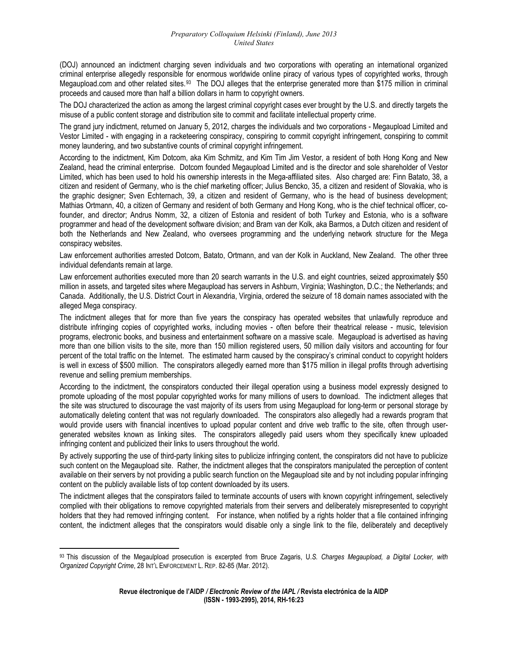(DOJ) announced an indictment charging seven individuals and two corporations with operating an international organized criminal enterprise allegedly responsible for enormous worldwide online piracy of various types of copyrighted works, through Megaupload.com and other related sites.<sup>[93](#page-22-0)</sup> The DOJ alleges that the enterprise generated more than \$175 million in criminal proceeds and caused more than half a billion dollars in harm to copyright owners.

The DOJ characterized the action as among the largest criminal copyright cases ever brought by the U.S. and directly targets the misuse of a public content storage and distribution site to commit and facilitate intellectual property crime.

The grand jury indictment, returned on January 5, 2012, charges the individuals and two corporations - Megaupload Limited and Vestor Limited - with engaging in a racketeering conspiracy, conspiring to commit copyright infringement, conspiring to commit money laundering, and two substantive counts of criminal copyright infringement.

According to the indictment, Kim Dotcom, aka Kim Schmitz, and Kim Tim Jim Vestor, a resident of both Hong Kong and New Zealand, head the criminal enterprise. Dotcom founded Megaupload Limited and is the director and sole shareholder of Vestor Limited, which has been used to hold his ownership interests in the Mega-affiliated sites. Also charged are: Finn Batato, 38, a citizen and resident of Germany, who is the chief marketing officer; Julius Bencko, 35, a citizen and resident of Slovakia, who is the graphic designer; Sven Echternach, 39, a citizen and resident of Germany, who is the head of business development; Mathias Ortmann, 40, a citizen of Germany and resident of both Germany and Hong Kong, who is the chief technical officer, cofounder, and director; Andrus Nomm, 32, a citizen of Estonia and resident of both Turkey and Estonia, who is a software programmer and head of the development software division; and Bram van der Kolk, aka Barmos, a Dutch citizen and resident of both the Netherlands and New Zealand, who oversees programming and the underlying network structure for the Mega conspiracy websites.

Law enforcement authorities arrested Dotcom, Batato, Ortmann, and van der Kolk in Auckland, New Zealand. The other three individual defendants remain at large.

Law enforcement authorities executed more than 20 search warrants in the U.S. and eight countries, seized approximately \$50 million in assets, and targeted sites where Megaupload has servers in Ashburn, Virginia; Washington, D.C.; the Netherlands; and Canada. Additionally, the U.S. District Court in Alexandria, Virginia, ordered the seizure of 18 domain names associated with the alleged Mega conspiracy.

The indictment alleges that for more than five years the conspiracy has operated websites that unlawfully reproduce and distribute infringing copies of copyrighted works, including movies - often before their theatrical release - music, television programs, electronic books, and business and entertainment software on a massive scale. Megaupload is advertised as having more than one billion visits to the site, more than 150 million registered users, 50 million daily visitors and accounting for four percent of the total traffic on the Internet. The estimated harm caused by the conspiracy's criminal conduct to copyright holders is well in excess of \$500 million. The conspirators allegedly earned more than \$175 million in illegal profits through advertising revenue and selling premium memberships.

According to the indictment, the conspirators conducted their illegal operation using a business model expressly designed to promote uploading of the most popular copyrighted works for many millions of users to download. The indictment alleges that the site was structured to discourage the vast majority of its users from using Megaupload for long-term or personal storage by automatically deleting content that was not regularly downloaded. The conspirators also allegedly had a rewards program that would provide users with financial incentives to upload popular content and drive web traffic to the site, often through usergenerated websites known as linking sites. The conspirators allegedly paid users whom they specifically knew uploaded infringing content and publicized their links to users throughout the world.

By actively supporting the use of third-party linking sites to publicize infringing content, the conspirators did not have to publicize such content on the Megaupload site. Rather, the indictment alleges that the conspirators manipulated the perception of content available on their servers by not providing a public search function on the Megaupload site and by not including popular infringing content on the publicly available lists of top content downloaded by its users.

The indictment alleges that the conspirators failed to terminate accounts of users with known copyright infringement, selectively complied with their obligations to remove copyrighted materials from their servers and deliberately misrepresented to copyright holders that they had removed infringing content. For instance, when notified by a rights holder that a file contained infringing content, the indictment alleges that the conspirators would disable only a single link to the file, deliberately and deceptively

<span id="page-22-0"></span><sup>93</sup> This discussion of the Megaulpload prosecution is excerpted from Bruce Zagaris, U*.S. Charges Megaupload, a Digital Locker, with Organized Copyright Crime*, 28 INT'L ENFORCEMENT L. REP. 82-85 (Mar. 2012).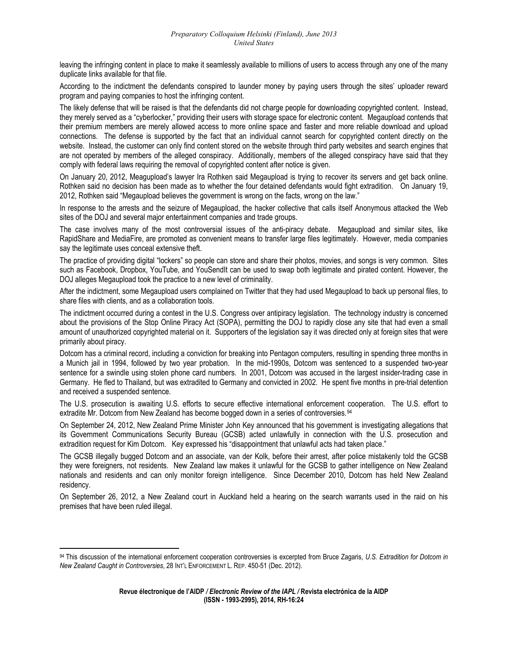leaving the infringing content in place to make it seamlessly available to millions of users to access through any one of the many duplicate links available for that file.

According to the indictment the defendants conspired to launder money by paying users through the sites' uploader reward program and paying companies to host the infringing content.

The likely defense that will be raised is that the defendants did not charge people for downloading copyrighted content. Instead, they merely served as a "cyberlocker," providing their users with storage space for electronic content. Megaupload contends that their premium members are merely allowed access to more online space and faster and more reliable download and upload connections. The defense is supported by the fact that an individual cannot search for copyrighted content directly on the website. Instead, the customer can only find content stored on the website through third party websites and search engines that are not operated by members of the alleged conspiracy. Additionally, members of the alleged conspiracy have said that they comply with federal laws requiring the removal of copyrighted content after notice is given.

On January 20, 2012, Meagupload's lawyer Ira Rothken said Megaupload is trying to recover its servers and get back online. Rothken said no decision has been made as to whether the four detained defendants would fight extradition. On January 19, 2012, Rothken said "Megaupload believes the government is wrong on the facts, wrong on the law."

In response to the arrests and the seizure of Megaupload, the hacker collective that calls itself Anonymous attacked the Web sites of the DOJ and several major entertainment companies and trade groups.

The case involves many of the most controversial issues of the anti-piracy debate. Megaupload and similar sites, like RapidShare and MediaFire, are promoted as convenient means to transfer large files legitimately. However, media companies say the legitimate uses conceal extensive theft.

The practice of providing digital "lockers" so people can store and share their photos, movies, and songs is very common. Sites such as Facebook, Dropbox, YouTube, and YouSendIt can be used to swap both legitimate and pirated content. However, the DOJ alleges Megaupload took the practice to a new level of criminality.

After the indictment, some Megaupload users complained on Twitter that they had used Megaupload to back up personal files, to share files with clients, and as a collaboration tools.

The indictment occurred during a contest in the U.S. Congress over antipiracy legislation. The technology industry is concerned about the provisions of the Stop Online Piracy Act (SOPA), permitting the DOJ to rapidly close any site that had even a small amount of unauthorized copyrighted material on it. Supporters of the legislation say it was directed only at foreign sites that were primarily about piracy.

Dotcom has a criminal record, including a conviction for breaking into Pentagon computers, resulting in spending three months in a Munich jail in 1994, followed by two year probation. In the mid-1990s, Dotcom was sentenced to a suspended two-year sentence for a swindle using stolen phone card numbers. In 2001, Dotcom was accused in the largest insider-trading case in Germany. He fled to Thailand, but was extradited to Germany and convicted in 2002. He spent five months in pre-trial detention and received a suspended sentence.

The U.S. prosecution is awaiting U.S. efforts to secure effective international enforcement cooperation. The U.S. effort to extradite Mr. Dotcom from New Zealand has become bogged down in a series of controversies.<sup>[94](#page-23-0)</sup>

On September 24, 2012, New Zealand Prime Minister John Key announced that his government is investigating allegations that its Government Communications Security Bureau (GCSB) acted unlawfully in connection with the U.S. prosecution and extradition request for Kim Dotcom. Key expressed his "disappointment that unlawful acts had taken place."

The GCSB illegally bugged Dotcom and an associate, van der Kolk, before their arrest, after police mistakenly told the GCSB they were foreigners, not residents. New Zealand law makes it unlawful for the GCSB to gather intelligence on New Zealand nationals and residents and can only monitor foreign intelligence. Since December 2010, Dotcom has held New Zealand residency.

On September 26, 2012, a New Zealand court in Auckland held a hearing on the search warrants used in the raid on his premises that have been ruled illegal.

<span id="page-23-0"></span><sup>94</sup> This discussion of the international enforcement cooperation controversies is excerpted from Bruce Zagaris, *U.S. Extradition for Dotcom in New Zealand Caught in Controversies*, 28 INT'L ENFORCEMENT L. REP. 450-51 (Dec. 2012).